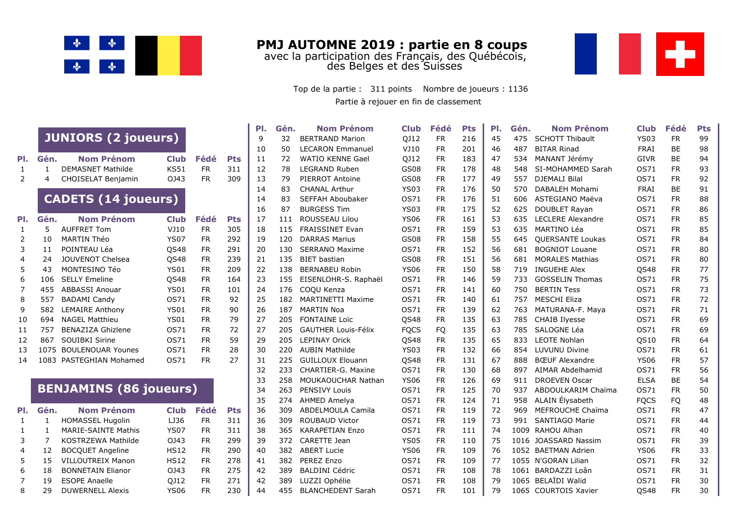

**PMJ AUTOMNE 2019 : partie en 8 coups** avec la participation des Français, des Québécois, des Belges et des Suisses



Partie à rejouer en fin de classement Top de la partie : 311 points Nombre de joueurs : 1136

|    |              |                               |             |           |            | PI. | Gén. | <b>Nom Prénom</b>          | <b>Club</b> | Fédé      | <b>Pts</b> | PI. | Gén. | <b>Nom Prénom</b>        | <b>Club</b> | Fédé      | <b>Pts</b> |
|----|--------------|-------------------------------|-------------|-----------|------------|-----|------|----------------------------|-------------|-----------|------------|-----|------|--------------------------|-------------|-----------|------------|
|    |              | <b>JUNIORS (2 joueurs)</b>    |             |           |            | 9   | 32   | <b>BERTRAND Marion</b>     | QJ12        | <b>FR</b> | 216        | 45  | 475  | <b>SCHOTT Thibault</b>   | <b>YS03</b> | <b>FR</b> | 99         |
|    |              |                               |             |           |            | 10  | 50   | <b>LECARON Emmanuel</b>    | VJ10        | <b>FR</b> | 201        | 46  | 487  | <b>BITAR Rinad</b>       | <b>FRAI</b> | BE        | 98         |
| Π. | Gén.         | <b>Nom Prénom</b>             | <b>Club</b> | Fédé      | <b>Pts</b> | 11  | 72   | <b>WATIO KENNE Gael</b>    | QJ12        | <b>FR</b> | 183        | 47  | 534  | MANANT Jérémy            | <b>GIVR</b> | BE        | 94         |
|    | $\mathbf{1}$ | <b>DEMASNET Mathilde</b>      | <b>KS51</b> | <b>FR</b> | 311        | 12  | 78   | <b>LEGRAND Ruben</b>       | GS08        | <b>FR</b> | 178        | 48  | 548  | SI-MOHAMMED Sarah        | OS71        | <b>FR</b> | 93         |
|    | 4            | CHOISELAT Benjamin            | OJ43        | <b>FR</b> | 309        | 13  | 79   | PIERROT Antoine            | GS08        | <b>FR</b> | 177        | 49  | 557  | <b>DJEMALI Bilal</b>     | OS71        | <b>FR</b> | 92         |
|    |              |                               |             |           |            | 14  | 83   | <b>CHANAL Arthur</b>       | <b>YS03</b> | <b>FR</b> | 176        | 50  | 570  | DABALEH Mohami           | <b>FRAI</b> | <b>BE</b> | 91         |
|    |              | <b>CADETS (14 joueurs)</b>    |             |           |            | 14  | 83   | <b>SEFFAH Aboubaker</b>    | OS71        | <b>FR</b> | 176        | 51  | 606  | ASTEGIANO Maëva          | OS71        | <b>FR</b> | 88         |
|    |              |                               |             |           |            | 16  | 87   | <b>BURGESS Tim</b>         | <b>YS03</b> | <b>FR</b> | 175        | 52  | 625  | DOUBLET Rayan            | OS71        | <b>FR</b> | 86         |
| Π. | Gén.         | <b>Nom Prénom</b>             | <b>Club</b> | Fédé      | <b>Pts</b> | 17  | 111  | <b>ROUSSEAU Lilou</b>      | <b>YS06</b> | <b>FR</b> | 161        | 53  | 635  | <b>LECLERE Alexandre</b> | OS71        | <b>FR</b> | 85         |
|    | 5            | <b>AUFFRET Tom</b>            | VJ10        | <b>FR</b> | 305        | 18  | 115  | FRAISSINET Evan            | OS71        | <b>FR</b> | 159        | 53  | 635  | <b>MARTINO Léa</b>       | OS71        | <b>FR</b> | 85         |
|    | 10           | <b>MARTIN Théo</b>            | <b>YS07</b> | <b>FR</b> | 292        | 19  | 120  | <b>DARRAS Marius</b>       | GS08        | <b>FR</b> | 158        | 55  | 645  | <b>QUERSANTE Loukas</b>  | OS71        | <b>FR</b> | 84         |
|    | 11           | POINTEAU Léa                  | <b>QS48</b> | <b>FR</b> | 291        | 20  | 130  | <b>SERRANO Maxime</b>      | OS71        | <b>FR</b> | 152        | 56  | 681  | <b>BOGNIOT Louane</b>    | OS71        | <b>FR</b> | 80         |
|    | 24           | JOUVENOT Chelsea              | QS48        | <b>FR</b> | 239        | 21  | 135  | <b>BIET</b> bastian        | GS08        | <b>FR</b> | 151        | 56  | 681  | <b>MORALES Mathias</b>   | OS71        | <b>FR</b> | 80         |
|    | 43           | MONTESINO Téo                 | <b>YS01</b> | <b>FR</b> | 209        | 22  | 138  | <b>BERNABEU Robin</b>      | <b>YS06</b> | <b>FR</b> | 150        | 58  | 719  | <b>INGUEHE Alex</b>      | QS48        | <b>FR</b> | 77         |
|    | 106          | <b>SELLY Emeline</b>          | QS48        | <b>FR</b> | 164        | 23  | 155  | EISENLOHR-S. Raphaël       | OS71        | <b>FR</b> | 146        | 59  | 733  | <b>GOSSELIN Thomas</b>   | OS71        | <b>FR</b> | 75         |
|    | 455          | <b>ABBASSI Anouar</b>         | <b>YS01</b> | <b>FR</b> | 101        | 24  | 176  | COQU Kenza                 | OS71        | <b>FR</b> | 141        | 60  | 750  | <b>BERTIN Tess</b>       | OS71        | <b>FR</b> | 73         |
|    | 557          | <b>BADAMI Candy</b>           | <b>OS71</b> | <b>FR</b> | 92         | 25  | 182  | <b>MARTINETTI Maxime</b>   | OS71        | <b>FR</b> | 140        | 61  | 757  | <b>MESCHI Eliza</b>      | OS71        | <b>FR</b> | 72         |
|    | 582          | <b>LEMAIRE Anthony</b>        | <b>YS01</b> | <b>FR</b> | 90         | 26  | 187  | <b>MARTIN Noa</b>          | OS71        | <b>FR</b> | 139        | 62  | 763  | MATURANA-F. Maya         | OS71        | <b>FR</b> | 71         |
| .0 | 694          | <b>NAGEL Matthieu</b>         | <b>YS01</b> | <b>FR</b> | 79         | 27  | 205  | <b>FONTAINE Loïc</b>       | <b>QS48</b> | <b>FR</b> | 135        | 63  | 785  | <b>CHAIB Ilyesse</b>     | OS71        | <b>FR</b> | 69         |
|    | 757          | <b>BENAZIZA Ghizlene</b>      | <b>OS71</b> | <b>FR</b> | 72         | 27  | 205  | <b>GAUTHER Louis-Félix</b> | <b>FQCS</b> | FQ        | 135        | 63  | 785  | SALOGNE Léa              | OS71        | <b>FR</b> | 69         |
| .2 | 867          | SOUIBKI Sirine                | <b>OS71</b> | <b>FR</b> | 59         | 29  | 205  | <b>LEPINAY Orick</b>       | <b>QS48</b> | <b>FR</b> | 135        | 65  | 833  | LEOTE Nohlan             | <b>QS10</b> | <b>FR</b> | 64         |
| .3 | 1075         | <b>BOULENOUAR Younes</b>      | <b>0S71</b> | <b>FR</b> | 28         | 30  | 220  | <b>AUBIN Mathilde</b>      | <b>YS03</b> | <b>FR</b> | 132        | 66  | 854  | LUVUNU Divine            | OS71        | <b>FR</b> | 61         |
| .4 |              | 1083 PASTEGHIAN Mohamed       | <b>OS71</b> | <b>FR</b> | 27         | 31  | 225  | <b>GUILLOUX Elouann</b>    | <b>QS48</b> | <b>FR</b> | 131        | 67  | 888  | <b>B</b> ŒUF Alexandre   | <b>YS06</b> | <b>FR</b> | 57         |
|    |              |                               |             |           |            | 32  | 233  | CHARTIER-G. Maxine         | OS71        | <b>FR</b> | 130        | 68  | 897  | AIMAR Abdelhamid         | OS71        | <b>FR</b> | 56         |
|    |              |                               |             |           |            | 33  | 258  | <b>MOUKAOUCHAR Nathan</b>  | <b>YS06</b> | <b>FR</b> | 126        | 69  | 911  | <b>DROEVEN Oscar</b>     | <b>ELSA</b> | <b>BE</b> | 54         |
|    |              | <b>BENJAMINS (86 joueurs)</b> |             |           |            | 34  | 263  | <b>PENSIVY Louis</b>       | OS71        | <b>FR</b> | 125        | 70  | 937  | ABDOULKARIM Chaïma       | OS71        | <b>FR</b> | 50         |
|    |              |                               |             |           |            | 35  | 274  | <b>AHMED Amelya</b>        | <b>OS71</b> | <b>FR</b> | 124        | 71  | 958  | ALAIN Élysabeth          | <b>FOCS</b> | FQ        | 48         |
| Π. | Gén.         | <b>Nom Prénom</b>             | <b>Club</b> | Fédé      | <b>Pts</b> | 36  | 309  | ABDELMOULA Camila          | OS71        | <b>FR</b> | 119        | 72  | 969  | MEFROUCHE Chaïma         | OS71        | <b>FR</b> | 47         |
|    | 1            | <b>HOMASSEL Hugolin</b>       | LJ36        | <b>FR</b> | 311        | 36  | 309  | <b>ROUBAUD Victor</b>      | <b>OS71</b> | <b>FR</b> | 119        | 73  | 991  | <b>SANTIAGO Marie</b>    | OS71        | <b>FR</b> | 44         |
|    | 1            | <b>MARIE-SAINTE Mathis</b>    | <b>YS07</b> | <b>FR</b> | 311        | 38  | 365  | <b>KARAPETIAN Enzo</b>     | OS71        | <b>FR</b> | 111        | 74  | 1009 | <b>RAHOU Alhan</b>       | OS71        | <b>FR</b> | 40         |
|    | 7            | <b>KOSTRZEWA Mathilde</b>     | OJ43        | <b>FR</b> | 299        | 39  | 372  | CARETTE Jean               | <b>YS05</b> | <b>FR</b> | 110        | 75  |      | 1016 JOASSARD Nassim     | OS71        | <b>FR</b> | 39         |
|    | 12           | <b>BOCQUET Angeline</b>       | <b>HS12</b> | <b>FR</b> | 290        | 40  | 382  | <b>ABERT Lucie</b>         | <b>YS06</b> | <b>FR</b> | 109        | 76  |      | 1052 BAETMAN Adrien      | <b>YS06</b> | <b>FR</b> | 33         |
|    | 15           | <b>VILLOUTREIX Manon</b>      | <b>HS12</b> | <b>FR</b> | 278        | 41  | 382  | PEREZ Enzo                 | OS71        | <b>FR</b> | 109        | 77  |      | 1055 N'GORAN Lilian      | <b>OS71</b> | <b>FR</b> | 32         |
|    | 18           | <b>BONNETAIN Elianor</b>      | OJ43        | <b>FR</b> | 275        | 42  | 389  | <b>BALDINI Cédric</b>      | OS71        | <b>FR</b> | 108        | 78  |      | 1061 BARDAZZI Loân       | OS71        | <b>FR</b> | 31         |
|    | 19           | <b>ESOPE Anaelle</b>          | QJ12        | <b>FR</b> | 271        | 42  | 389  | LUZZI Ophélie              | OS71        | <b>FR</b> | 108        | 79  |      | 1065 BELAÏDI Walid       | OS71        | <b>FR</b> | 30         |
|    | 29           | <b>DUWERNELL Alexis</b>       | <b>YS06</b> | <b>FR</b> | 230        | 44  | 455  | <b>BLANCHEDENT Sarah</b>   | OS71        | <b>FR</b> | 101        | 79  |      | 1065 COURTOIS Xavier     | QS48        | <b>FR</b> | 30         |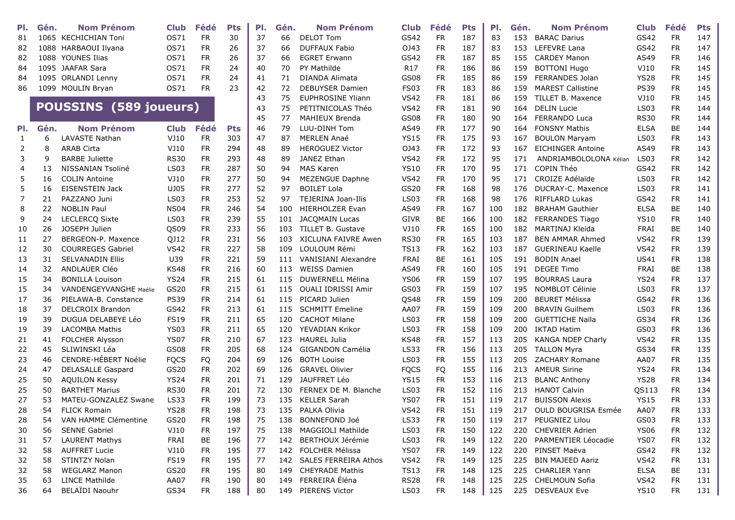| PI. | Gén. | <b>Nom Prénom</b>             | <b>Club</b>      | Fédé      | <b>Pts</b> | PI. | Gén. | <b>Nom Prénom</b>           | <b>Club</b>     | Fédé      | <b>Pts</b> | PI. | Gén. | <b>Nom Prénom</b>          | <b>Club</b> | Fédé      | Pts |
|-----|------|-------------------------------|------------------|-----------|------------|-----|------|-----------------------------|-----------------|-----------|------------|-----|------|----------------------------|-------------|-----------|-----|
| 81  |      | 1065 KECHICHIAN Toni          | OS71             | <b>FR</b> | 30         | 37  | 66   | <b>DELOT Tom</b>            | GS42            | <b>FR</b> | 187        | 83  | 153  | <b>BARAC Darius</b>        | GS42        | <b>FR</b> | 147 |
| 82  |      | 1088 HARBAOUI Ilyana          | OS71             | <b>FR</b> | 26         | 37  | 66   | <b>DUFFAUX Fabio</b>        | 0343            | <b>FR</b> | 187        | 83  | 153  | LEFEVRE Lana               | GS42        | <b>FR</b> | 147 |
| 82  |      | 1088 YOUNES Ilias             | OS71             | <b>FR</b> | 26         | 37  | 66   | <b>EGRET Erwann</b>         | GS42            | <b>FR</b> | 187        | 85  | 155  | <b>CARDEY Manon</b>        | AS49        | <b>FR</b> | 146 |
| 84  |      | 1095 JAAFAR Sara              | OS71             | <b>FR</b> | 24         | 40  | 70   | <b>PY Mathilde</b>          | R <sub>17</sub> | <b>FR</b> | 186        | 86  | 159  | <b>BOTTONI Hugo</b>        | VJ10        | <b>FR</b> | 145 |
| 84  |      | 1095 ORLANDI Lenny            | OS71             | <b>FR</b> | 24         | 41  | 71   | DIANDA Alimata              | GS08            | <b>FR</b> | 185        | 86  | 159  | FERRANDES Jolan            | <b>YS28</b> | <b>FR</b> | 145 |
| 86  |      | 1099 MOULIN Bryan             | OS71             | FR.       | 23         | 42  | 72   | <b>DEBUYSER Damien</b>      | <b>FS03</b>     | <b>FR</b> | 183        | 86  | 159  | <b>MAREST Callistine</b>   | <b>PS39</b> | <b>FR</b> | 145 |
|     |      |                               |                  |           |            | 43  | 75   | <b>EUPHROSINE Yliann</b>    | <b>VS42</b>     | <b>FR</b> | 181        | 86  | 159  | TILLET B. Maxence          | VJ10        | FR        | 145 |
|     |      | POUSSINS (589 joueurs)        |                  |           |            | 43  | 75   | PETITNICOLAS Théo           | <b>VS42</b>     | <b>FR</b> | 181        | 90  | 164  | <b>DELIN Lucie</b>         | <b>LS03</b> | <b>FR</b> | 144 |
|     |      |                               |                  |           |            | 45  | 77   | MAHIEUX Brenda              | GS08            | <b>FR</b> | 180        | 90  | 164  | <b>FERRANDO Luca</b>       | <b>RS30</b> | <b>FR</b> | 144 |
| PI. | Gén. | <b>Nom Prénom</b>             | <b>Club</b>      | Fédé      | <b>Pts</b> | 46  | 79   | LUU-DINH Tom                | AS49            | <b>FR</b> | 177        | 90  | 164  | <b>FONSNY Mathis</b>       | <b>ELSA</b> | BE        | 144 |
| 1   | 6    | LAVASTE Nathan                | VJ10             | <b>FR</b> | 303        | 47  | 87   | <b>MERLEN Anaé</b>          | <b>YS15</b>     | <b>FR</b> | 175        | 93  | 167  | <b>BOULON Maryam</b>       | <b>LS03</b> | <b>FR</b> | 143 |
| 2   | 8    | <b>ARAB Cirta</b>             | VJ10             | <b>FR</b> | 294        | 48  | 89   | <b>HEROGUEZ Victor</b>      | 0J43            | <b>FR</b> | 172        | 93  | 167  | <b>EICHINGER Antoine</b>   | AS49        | <b>FR</b> | 143 |
| 3   | 9    | <b>BARBE Juliette</b>         | <b>RS30</b>      | <b>FR</b> | 293        | 48  | 89   | JANEZ Ethan                 | <b>VS42</b>     | <b>FR</b> | 172        | 95  | 171  | ANDRIAMBOLOLONA Kélian     | <b>LS03</b> | <b>FR</b> | 142 |
| 4   | 13   | NISSANIAN Tsoliné             | LS <sub>03</sub> | <b>FR</b> | 287        | 50  | 94   | <b>MAS Karen</b>            | <b>YS10</b>     | <b>FR</b> | 170        | 95  | 171  | COPIN Théo                 | GS42        | <b>FR</b> | 142 |
| 5   | 16   | <b>COLIN Antoine</b>          | VJ10             | <b>FR</b> | 277        | 50  | 94   | <b>MEZENGUE Daphne</b>      | <b>VS42</b>     | <b>FR</b> | 170        | 95  | 171  | CROIZE Adélaïde            | <b>LS03</b> | <b>FR</b> | 142 |
| 5   | 16   | <b>EISENSTEIN Jack</b>        | UJ05             | <b>FR</b> | 277        | 52  | 97   | <b>BOILET Lola</b>          | GS20            | <b>FR</b> | 168        | 98  | 176  | DUCRAY-C. Maxence          | <b>LS03</b> | <b>FR</b> | 141 |
| 7   | 21   | PAZZANO Juni                  | <b>LS03</b>      | <b>FR</b> | 253        | 52  | 97   | TEJERINA Joan-Ilis          | <b>LS03</b>     | <b>FR</b> | 168        | 98  | 176  | <b>RIFFLARD Lukas</b>      | GS42        | <b>FR</b> | 141 |
| 8   | 22   | <b>NOBLIN Paul</b>            | <b>NS04</b>      | <b>FR</b> | 246        | 54  | 100  | <b>HIERHOLZER Evan</b>      | AS49            | <b>FR</b> | 167        | 100 | 182  | <b>BRAHAM Gauthier</b>     | <b>ELSA</b> | <b>BE</b> | 140 |
| 9   | 24   | <b>LECLERCO Sixte</b>         | <b>LS03</b>      | <b>FR</b> | 239        | 55  | 101  | <b>JACOMAIN Lucas</b>       | <b>GIVR</b>     | <b>BE</b> | 166        | 100 | 182  | FERRANDES Tiago            | <b>YS10</b> | <b>FR</b> | 140 |
| 10  | 26   | JOSEPH Julien                 | QS09             | <b>FR</b> | 233        | 56  | 103  | TILLET B. Gustave           | VJ10            | <b>FR</b> | 165        | 100 | 182  | MARTINAJ Kleida            | <b>FRAI</b> | <b>BE</b> | 140 |
| 11  | 27   | BERGEON-P. Maxence            | QJ12             | <b>FR</b> | 231        | 56  | 103  | <b>XICLUNA FAIVRE Awen</b>  | <b>RS30</b>     | <b>FR</b> | 165        | 103 | 187  | <b>BEN AMMAR Ahmed</b>     | <b>VS42</b> | <b>FR</b> | 139 |
| 12  | 30   | <b>COURREGES Gabriel</b>      | <b>VS42</b>      | <b>FR</b> | 227        | 58  | 109  | LOULOUM Rémi                | <b>TS13</b>     | <b>FR</b> | 162        | 103 | 187  | <b>GUERINEAU Kaelle</b>    | <b>VS42</b> | <b>FR</b> | 139 |
| 13  | 31   | <b>SELVANADIN Ellis</b>       | U39              | <b>FR</b> | 221        | 59  | 111  | VANISIANI Alexandre         | FRAI            | <b>BE</b> | 161        | 105 | 191  | <b>BODIN Anael</b>         | <b>US41</b> | <b>FR</b> | 138 |
| 14  | 32   | <b>ANDLAUER CIÉO</b>          | <b>KS48</b>      | <b>FR</b> | 216        | 60  | 113  | <b>WEISS Damien</b>         | AS49            | <b>FR</b> | 160        | 105 | 191  | <b>DEGEE Timo</b>          | <b>FRAI</b> | <b>BE</b> | 138 |
| 15  | 34   | <b>BONILLA Louison</b>        | <b>YS24</b>      | <b>FR</b> | 215        | 61  | 115  | DUWERNELL Mélina            | <b>YS06</b>     | <b>FR</b> | 159        | 107 | 195  | <b>BOURRAS Laura</b>       | <b>YS24</b> | <b>FR</b> | 137 |
| 15  | 34   | <b>VANDENGEYVANGHE Maélie</b> | GS20             | <b>FR</b> | 215        | 61  | 115  | <b>OUALI IDRISSI Amir</b>   | GS03            | <b>FR</b> | 159        | 107 | 195  | <b>NOMBLOT Célinie</b>     | <b>LS03</b> | <b>FR</b> | 137 |
| 17  | 36   | PIELAWA-B. Constance          | <b>PS39</b>      | <b>FR</b> | 214        | 61  | 115  | PICARD Julien               | QS48            | <b>FR</b> | 159        | 109 | 200  | <b>BEURET Mélissa</b>      | GS42        | <b>FR</b> | 136 |
| 18  | 37   | <b>DELCROIX Brandon</b>       | GS42             | <b>FR</b> | 213        | 61  | 115  | <b>SCHMITT Emeline</b>      | AA07            | <b>FR</b> | 159        | 109 | 200  | <b>BRAVIN Guilhem</b>      | <b>LS03</b> | <b>FR</b> | 136 |
| 19  | 39   | DUGUA DELABEYE Léo            | <b>FS19</b>      | <b>FR</b> | 211        | 65  | 120  | <b>CACHOT Milane</b>        | <b>LS03</b>     | <b>FR</b> | 158        | 109 | 200  | <b>GUETTICHE Naïla</b>     | GS34        | <b>FR</b> | 136 |
| 19  | 39   | <b>LACOMBA Mathis</b>         | <b>YS03</b>      | FR.       | 211        | 65  | 120  | YEVADIAN Krikor             | <b>LS03</b>     | <b>FR</b> | 158        | 109 | 200  | <b>IKTAD Hatim</b>         | GS03        | <b>FR</b> | 136 |
| 21  | 41   | FOLCHER Alysson               | <b>YS07</b>      | FR.       | 210        | 67  | 123  | <b>HAUREL Julia</b>         | <b>KS48</b>     | <b>FR</b> | 157        | 113 | 205  | <b>KANGA NDEP Charly</b>   | <b>VS42</b> | <b>FR</b> | 135 |
| 22  | 45   | SLIWINSKI Léa                 | GS08             | <b>FR</b> | 205        | 68  | 124  | <b>GIGANDON Camélia</b>     | <b>LS33</b>     | <b>FR</b> | 156        | 113 | 205  | <b>TALLON Myra</b>         | GS34        | <b>FR</b> | 135 |
| 23  | 46   | CENDRE-HÉBERT Noélie          | <b>FQCS</b>      | FQ        | 204        | 69  | 126  | <b>BOTH Louise</b>          | <b>LS03</b>     | <b>FR</b> | 155        | 113 | 205  | <b>ZACHARY Romane</b>      | AA07        | <b>FR</b> | 135 |
| 24  | 47   | <b>DELASALLE Gaspard</b>      | GS20             | <b>FR</b> | 202        | 69  | 126  | <b>GRAVEL Olivier</b>       | <b>FQCS</b>     | FQ        | 155        | 116 | 213  | <b>AMEUR Sirine</b>        | <b>YS24</b> | <b>FR</b> | 134 |
| 25  | 50   | <b>AQUILON Kessy</b>          | <b>YS24</b>      | <b>FR</b> | 201        | 71  | 129  | <b>JAUFFRET Léo</b>         | <b>YS15</b>     | <b>FR</b> | 153        | 116 | 213  | <b>BLANC Anthony</b>       | <b>YS28</b> | FR        | 134 |
| 25  | 50   | <b>BARTHET Marius</b>         | <b>RS30</b>      | <b>FR</b> | 201        | 72  | 130  | FERNEX DE M. Blanche        | <b>LS03</b>     | <b>FR</b> | 152        | 116 | 213  | <b>HANOT Calvin</b>        | QS113       | FR        | 134 |
| 27  | 53   | MATEU-GONZALEZ Swane          | LS33             | <b>FR</b> | 199        | 73  | 135  | <b>KELLER Sarah</b>         | <b>YS07</b>     | <b>FR</b> | 151        | 119 | 217  | <b>BUISSON Alexis</b>      | <b>YS15</b> | FR        | 133 |
| 28  | 54   | <b>FLICK Romain</b>           | <b>YS28</b>      | <b>FR</b> | 198        | 73  | 135  | PALKA Olivia                | <b>VS42</b>     | <b>FR</b> | 151        | 119 | 217  | <b>OULD BOUGRISA Esmée</b> | AA07        | <b>FR</b> | 133 |
| 28  | 54   | VAN HAMME Clémentine          | GS20             | <b>FR</b> | 198        | 75  | 138  | BONNEFOND Joé               | <b>LS33</b>     | <b>FR</b> | 150        | 119 | 217  | PEUGNIEZ Lilou             | GS03        | <b>FR</b> | 133 |
| 30  | 56   | <b>SENNE Gabriel</b>          | VJ10             | <b>FR</b> | 197        | 75  | 138  | MAGGIOLI Mathilde           | LS03            | <b>FR</b> | 150        | 122 | 220  | <b>CHEVRIER Adrien</b>     | <b>YS06</b> | <b>FR</b> | 132 |
| 31  | 57   | <b>LAURENT Mathys</b>         | FRAI             | BE        | 196        | 77  | 142  | BERTHOUX Jérémie            | <b>LS03</b>     | <b>FR</b> | 149        | 122 | 220  | PARMENTIER Léocadie        | <b>YS07</b> | <b>FR</b> | 132 |
| 32  | 58   | <b>AUFFRET Lucie</b>          | VJ10             | <b>FR</b> | 195        | 77  |      | 142 FOLCHER Mélissa         | <b>YS07</b>     | <b>FR</b> | 149        | 122 | 220  | PINSET Maëva               | GS42        | <b>FR</b> | 132 |
| 32  | 58   | STINTZY Nolan                 | <b>FS19</b>      | <b>FR</b> | 195        | 77  | 142  | <b>SALES FERREIRA Athos</b> | <b>VS42</b>     | <b>FR</b> | 149        | 125 | 225  | <b>BIN MAJEED Aariz</b>    | <b>VS42</b> | <b>FR</b> | 131 |
| 32  | 58   | <b>WEGLARZ Manon</b>          | GS20             | <b>FR</b> | 195        | 80  | 149  | <b>CHEYRADE Mathis</b>      | <b>TS13</b>     | <b>FR</b> | 148        | 125 | 225  | <b>CHARLIER Yann</b>       | <b>ELSA</b> | BE        | 131 |
| 35  | 63   | <b>LINCE Mathilde</b>         | AA07             | FR        | 190        | 80  | 149  | FERREIRA Éléna              | <b>RS28</b>     | FR        | 148        | 125 | 225  | <b>CHELMOUN Sofia</b>      | <b>VS42</b> | <b>FR</b> | 131 |
| 36  | 64   | <b>BELAÏDI Naouhr</b>         | GS34             | <b>FR</b> | 188        | 80  | 149  | PIERENS Victor              | LS03            | <b>FR</b> | 148        | 125 |      | 225 DESVEAUX Eve           | <b>YS10</b> | <b>FR</b> | 131 |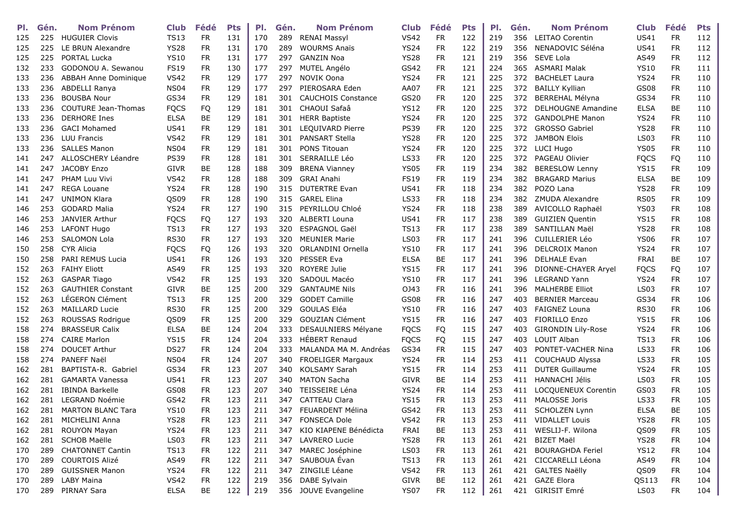| PI. | Gén. | <b>Nom Prénom</b>           | <b>Club</b> | Fédé      | <b>Pts</b> | PI. | Gén. | <b>Nom Prénom</b>         | <b>Club</b>      | Fédé      | <b>Pts</b> | PI. | Gén. | <b>Nom Prénom</b>         | <b>Club</b> | Fédé      | <b>Pts</b> |
|-----|------|-----------------------------|-------------|-----------|------------|-----|------|---------------------------|------------------|-----------|------------|-----|------|---------------------------|-------------|-----------|------------|
| 125 | 225  | <b>HUGUIER Clovis</b>       | <b>TS13</b> | <b>FR</b> | 131        | 170 | 289  | <b>RENAI Massyl</b>       | <b>VS42</b>      | <b>FR</b> | 122        | 219 | 356  | <b>LEITAO Corentin</b>    | <b>US41</b> | <b>FR</b> | 112        |
| 125 | 225  | LE BRUN Alexandre           | <b>YS28</b> | <b>FR</b> | 131        | 170 | 289  | <b>WOURMS Anaïs</b>       | <b>YS24</b>      | <b>FR</b> | 122        | 219 | 356  | NENADOVIC Séléna          | <b>US41</b> | <b>FR</b> | 112        |
| 125 | 225  | <b>PORTAL Lucka</b>         | <b>YS10</b> | <b>FR</b> | 131        | 177 | 297  | <b>GANZIN Noa</b>         | <b>YS28</b>      | <b>FR</b> | 121        | 219 | 356  | <b>SEVE Lola</b>          | AS49        | <b>FR</b> | 112        |
| 132 | 233  | GODONOU A. Sewanou          | <b>FS19</b> | <b>FR</b> | 130        | 177 | 297  | MUTEL Angélo              | GS42             | <b>FR</b> | 121        | 224 | 365  | <b>ASMARI Malak</b>       | <b>YS10</b> | <b>FR</b> | 111        |
| 133 | 236  | <b>ABBAH Anne Dominique</b> | <b>VS42</b> | <b>FR</b> | 129        | 177 | 297  | <b>NOVIK Oona</b>         | <b>YS24</b>      | <b>FR</b> | 121        | 225 | 372  | <b>BACHELET Laura</b>     | <b>YS24</b> | <b>FR</b> | 110        |
| 133 | 236  | ABDELLI Ranya               | <b>NS04</b> | FR        | 129        | 177 | 297  | PIEROSARA Eden            | AA07             | <b>FR</b> | 121        | 225 | 372  | <b>BAILLY Kyllian</b>     | GS08        | <b>FR</b> | 110        |
| 133 | 236  | <b>BOUSBA Nour</b>          | GS34        | <b>FR</b> | 129        | 181 | 301  | <b>CAUCHOIS Constance</b> | GS20             | <b>FR</b> | 120        | 225 | 372  | <b>BERREHAL Mélyna</b>    | GS34        | FR        | 110        |
| 133 | 236  | COUTURE Jean-Thomas         | <b>FQCS</b> | FQ        | 129        | 181 | 301  | CHAOUI Safaâ              | <b>YS12</b>      | <b>FR</b> | 120        | 225 | 372  | <b>DELHOUGNE Amandine</b> | <b>ELSA</b> | <b>BE</b> | 110        |
| 133 | 236  | <b>DERHORE Ines</b>         | <b>ELSA</b> | BE        | 129        | 181 | 301  | <b>HERR Baptiste</b>      | <b>YS24</b>      | <b>FR</b> | 120        | 225 | 372  | <b>GANDOLPHE Manon</b>    | <b>YS24</b> | <b>FR</b> | 110        |
| 133 | 236  | <b>GACI Mohamed</b>         | <b>US41</b> | <b>FR</b> | 129        | 181 | 301  | <b>LEQUIVARD Pierre</b>   | <b>PS39</b>      | <b>FR</b> | 120        | 225 | 372  | <b>GROSSO Gabriel</b>     | <b>YS28</b> | <b>FR</b> | 110        |
| 133 | 236  | <b>LUU Francis</b>          | <b>VS42</b> | <b>FR</b> | 129        | 181 | 301  | <b>PANSART Stella</b>     | <b>YS28</b>      | <b>FR</b> | 120        | 225 | 372  | <b>JAMBON Eloïs</b>       | <b>LS03</b> | <b>FR</b> | 110        |
| 133 | 236  | <b>SALLES Manon</b>         | <b>NS04</b> | <b>FR</b> | 129        | 181 | 301  | <b>PONS Titouan</b>       | <b>YS24</b>      | <b>FR</b> | 120        | 225 | 372  | <b>LUCI Hugo</b>          | YS05        | <b>FR</b> | 110        |
| 141 | 247  | ALLOSCHERY Léandre          | <b>PS39</b> | <b>FR</b> | 128        | 181 | 301  | SERRAILLE Léo             | <b>LS33</b>      | <b>FR</b> | 120        | 225 | 372  | PAGEAU Olivier            | <b>FQCS</b> | FQ        | 110        |
| 141 | 247  | <b>JACOBY Enzo</b>          | <b>GIVR</b> | BE        | 128        | 188 | 309  | <b>BRENA Vianney</b>      | <b>YS05</b>      | <b>FR</b> | 119        | 234 | 382  | <b>BERESLOW Lenny</b>     | <b>YS15</b> | <b>FR</b> | 109        |
| 141 | 247  | PHAM Luu Vivi               | <b>VS42</b> | <b>FR</b> | 128        | 188 | 309  | <b>GRAI Anahi</b>         | <b>FS19</b>      | <b>FR</b> | 119        | 234 | 382  | <b>BRAGARD Marius</b>     | <b>ELSA</b> | <b>BE</b> | 109        |
| 141 | 247  | <b>REGA Louane</b>          | <b>YS24</b> | <b>FR</b> | 128        | 190 | 315  | <b>DUTERTRE Evan</b>      | <b>US41</b>      | <b>FR</b> | 118        | 234 | 382  | POZO Lana                 | <b>YS28</b> | <b>FR</b> | 109        |
| 141 | 247  | <b>UNIMON Klara</b>         | QS09        | <b>FR</b> | 128        | 190 | 315  | <b>GAREL Elina</b>        | <b>LS33</b>      | <b>FR</b> | 118        | 234 | 382  | ZMUDA Alexandre           | <b>RS05</b> | <b>FR</b> | 109        |
| 146 | 253  | <b>GODARD Malia</b>         | <b>YS24</b> | <b>FR</b> | 127        | 190 | 315  | PEYRILLOU Chloé           | <b>YS24</b>      | <b>FR</b> | 118        | 238 | 389  | AVICOLLO Raphaël          | <b>YS03</b> | <b>FR</b> | 108        |
| 146 | 253  | JANVIER Arthur              | <b>FQCS</b> | FQ        | 127        | 193 | 320  | <b>ALBERTI Louna</b>      | <b>US41</b>      | <b>FR</b> | 117        | 238 | 389  | <b>GUIZIEN Quentin</b>    | <b>YS15</b> | <b>FR</b> | 108        |
| 146 | 253  | <b>LAFONT Hugo</b>          | <b>TS13</b> | <b>FR</b> | 127        | 193 | 320  | <b>ESPAGNOL Gaël</b>      | <b>TS13</b>      | <b>FR</b> | 117        | 238 | 389  | <b>SANTILLAN Maël</b>     | <b>YS28</b> | <b>FR</b> | 108        |
| 146 | 253  | <b>SALOMON Lola</b>         | <b>RS30</b> | <b>FR</b> | 127        | 193 | 320  | <b>MEUNIER Marie</b>      | <b>LS03</b>      | <b>FR</b> | 117        | 241 | 396  | CUILLERIER Léo            | <b>YS06</b> | <b>FR</b> | 107        |
| 150 | 258  | <b>CYR Alicia</b>           | <b>FQCS</b> | FQ        | 126        | 193 | 320  | ORLANDINI Ornella         | <b>YS10</b>      | <b>FR</b> | 117        | 241 | 396  | <b>DELCROIX Manon</b>     | <b>YS24</b> | <b>FR</b> | 107        |
| 150 | 258  | PARI REMUS Lucia            | <b>US41</b> | <b>FR</b> | 126        | 193 | 320  | PESSER Eva                | <b>ELSA</b>      | <b>BE</b> | 117        | 241 | 396  | <b>DELHALE Evan</b>       | <b>FRAI</b> | <b>BE</b> | 107        |
| 152 | 263  | <b>FAIHY Eliott</b>         | AS49        | <b>FR</b> | 125        | 193 | 320  | <b>ROYERE Julie</b>       | <b>YS15</b>      | <b>FR</b> | 117        | 241 | 396  | DIONNE-CHAYER Aryel       | <b>FQCS</b> | FQ        | 107        |
| 152 | 263  | <b>GASPAR Tiago</b>         | <b>VS42</b> | <b>FR</b> | 125        | 193 | 320  | SADOUL Macéo              | <b>YS10</b>      | <b>FR</b> | 117        | 241 | 396  | <b>LEGRAND Yann</b>       | <b>YS24</b> | <b>FR</b> | 107        |
| 152 | 263  | <b>GAUTHIER Constant</b>    | <b>GIVR</b> | BE        | 125        | 200 | 329  | <b>GANTAUME Nils</b>      | OJ43             | <b>FR</b> | 116        | 241 | 396  | <b>MALHERBE Elliot</b>    | <b>LS03</b> | <b>FR</b> | 107        |
| 152 | 263  | LÉGERON Clément             | <b>TS13</b> | <b>FR</b> | 125        | 200 | 329  | <b>GODET Camille</b>      | GS08             | <b>FR</b> | 116        | 247 | 403  | <b>BERNIER Marceau</b>    | GS34        | <b>FR</b> | 106        |
| 152 | 263  | <b>MAILLARD Lucie</b>       | <b>RS30</b> | <b>FR</b> | 125        | 200 | 329  | GOULAS Eléa               | <b>YS10</b>      | <b>FR</b> | 116        | 247 | 403  | <b>FAIGNEZ Louna</b>      | <b>RS30</b> | <b>FR</b> | 106        |
| 152 | 263  | ROUSSAS Rodrigue            | QS09        | <b>FR</b> | 125        | 200 | 329  | <b>GOUZIAN Clément</b>    | <b>YS15</b>      | <b>FR</b> | 116        | 247 | 403  | FIORILLO Enzo             | <b>YS15</b> | <b>FR</b> | 106        |
| 158 | 274  | <b>BRASSEUR Calix</b>       | <b>ELSA</b> | BE        | 124        | 204 | 333  | DESAULNIERS Mélyane       | <b>FQCS</b>      | FQ        | 115        | 247 | 403  | <b>GIRONDIN Lily-Rose</b> | <b>YS24</b> | <b>FR</b> | 106        |
| 158 | 274  | <b>CAIRE Marlon</b>         | <b>YS15</b> | <b>FR</b> | 124        | 204 | 333  | <b>HÉBERT Renaud</b>      | <b>FQCS</b>      | FQ        | 115        | 247 | 403  | LOUIT Alban               | <b>TS13</b> | <b>FR</b> | 106        |
| 158 | 274  | <b>DOUCET Arthur</b>        | <b>DS27</b> | FR        | 124        | 204 | 333  | MALANDA MA M. Andréas     | GS34             | <b>FR</b> | 115        | 247 | 403  | PONTET-VACHER Nina        | <b>LS33</b> | <b>FR</b> | 106        |
| 158 | 274  | <b>PANEFF Naël</b>          | <b>NS04</b> | <b>FR</b> | 124        | 207 | 340  | <b>FROELIGER Margaux</b>  | <b>YS24</b>      | <b>FR</b> | 114        | 253 | 411  | COUCHAUD Alyssa           | <b>LS33</b> | <b>FR</b> | 105        |
| 162 | 281  | BAPTISTA-R. Gabriel         | GS34        | <b>FR</b> | 123        | 207 | 340  | <b>KOLSAMY Sarah</b>      | <b>YS15</b>      | <b>FR</b> | 114        | 253 | 411  | <b>DUTER Guillaume</b>    | <b>YS24</b> | <b>FR</b> | 105        |
| 162 | 281  | <b>GAMARTA Vanessa</b>      | <b>US41</b> | <b>FR</b> | 123        | 207 | 340  | <b>MATON Sacha</b>        | <b>GIVR</b>      | BE        | 114        | 253 | 411  | HANNACHI Jélis            | <b>LS03</b> | <b>FR</b> | 105        |
| 162 | 281  | <b>IBINDA Barkelle</b>      | GS08        | <b>FR</b> | 123        | 207 | 340  | TEISSEIRE Léna            | <b>YS24</b>      | <b>FR</b> | 114        | 253 | 411  | LOCQUENEUX Corentin       | GS03        | <b>FR</b> | 105        |
| 162 | 281  | LEGRAND Noémie              | GS42        | <b>FR</b> | 123        | 211 | 347  | <b>CATTEAU Clara</b>      | <b>YS15</b>      | <b>FR</b> | 113        | 253 | 411  | <b>MALOSSE Joris</b>      | <b>LS33</b> | <b>FR</b> | 105        |
| 162 | 281  | <b>MARTON BLANC Tara</b>    | <b>YS10</b> | <b>FR</b> | 123        | 211 | 347  | FEUARDENT Mélina          | GS42             | <b>FR</b> | 113        | 253 | 411  | <b>SCHOLZEN Lvnn</b>      | <b>ELSA</b> | BE        | 105        |
| 162 | 281  | MICHELINI Anna              | <b>YS28</b> | <b>FR</b> | 123        | 211 | 347  | <b>FONSECA Dole</b>       | <b>VS42</b>      | <b>FR</b> | 113        | 253 | 411  | <b>VIDALLET Louis</b>     | <b>YS28</b> | <b>FR</b> | 105        |
| 162 | 281  | <b>ROUYON Mayan</b>         | <b>YS24</b> | <b>FR</b> | 123        | 211 | 347  | KIO KIAPENE Bénédicta     | FRAI             | BE        | 113        | 253 | 411  | WESLIJ-F. Wilona          | QS09        | <b>FR</b> | 105        |
| 162 | 281  | SCHOB Maëlle                | LS03        | <b>FR</b> | 123        | 211 | 347  | <b>LAVRERO Lucie</b>      | <b>YS28</b>      | <b>FR</b> | 113        | 261 | 421  | <b>BIZET Maël</b>         | <b>YS28</b> | <b>FR</b> | 104        |
| 170 | 289  | <b>CHATONNET Cantin</b>     | <b>TS13</b> | <b>FR</b> | 122        | 211 | 347  | MAREC Joséphine           | LS <sub>03</sub> | <b>FR</b> | 113        | 261 | 421  | <b>BOURAGHDA Feriel</b>   | <b>YS12</b> | <b>FR</b> | 104        |
| 170 | 289  | COURTOIS Alizé              | AS49        | <b>FR</b> | 122        | 211 | 347  | SAUBOUA Évan              | <b>TS13</b>      | <b>FR</b> | 113        | 261 | 421  | CICCARELLI Léona          | AS49        | FR        | 104        |
| 170 | 289  | <b>GUISSNER Manon</b>       | <b>YS24</b> | <b>FR</b> | 122        | 211 | 347  | ZINGILE Léane             | <b>VS42</b>      | <b>FR</b> | 113        | 261 | 421  | <b>GALTES Naëlly</b>      | QS09        | FR        | 104        |
| 170 | 289  | LABY Maina                  | <b>VS42</b> | <b>FR</b> | 122        | 219 |      | 356 DABE Sylvain          | <b>GIVR</b>      | BE        | 112        | 261 | 421  | <b>GAZE Elora</b>         | QS113       | FR.       | 104        |
| 170 | 289  | PIRNAY Sara                 | <b>ELSA</b> | BE        | 122        | 219 |      | 356 JOUVE Evangeline      | <b>YS07</b>      | <b>FR</b> | 112        | 261 | 421  | GIRISIT Emré              | LS03        | FR        | 104        |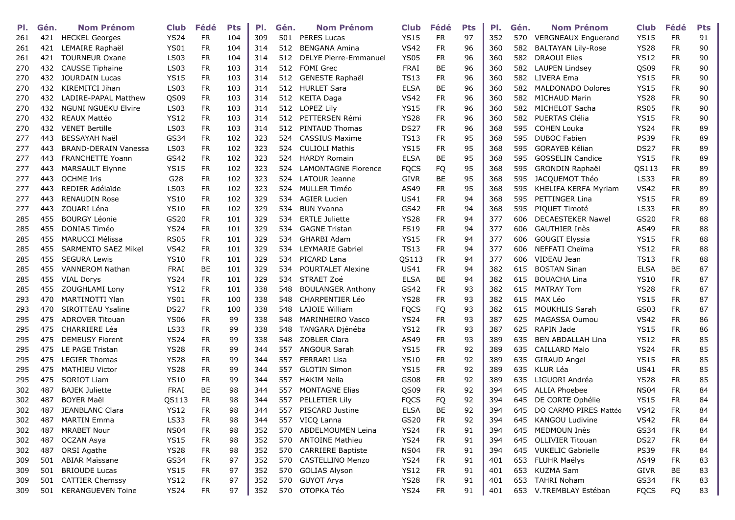| PI. | Gén. | <b>Nom Prénom</b>           | <b>Club</b>      | Fédé      | <b>Pts</b> | PI. | Gén. | <b>Nom Prénom</b>            | Club        | Fédé      | <b>Pts</b> | PI. | Gén. | <b>Nom Prénom</b>          | <b>Club</b>      | Fédé      | <b>Pts</b> |
|-----|------|-----------------------------|------------------|-----------|------------|-----|------|------------------------------|-------------|-----------|------------|-----|------|----------------------------|------------------|-----------|------------|
| 261 |      | 421 HECKEL Georges          | <b>YS24</b>      | <b>FR</b> | 104        | 309 | 501  | <b>PERES Lucas</b>           | <b>YS15</b> | <b>FR</b> | 97         | 352 | 570  | <b>VERGNEAUX Enguerand</b> | <b>YS15</b>      | <b>FR</b> | 91         |
| 261 | 421  | LEMAIRE Raphaël             | <b>YS01</b>      | <b>FR</b> | 104        | 314 | 512  | <b>BENGANA Amina</b>         | <b>VS42</b> | <b>FR</b> | 96         | 360 | 582  | <b>BALTAYAN Lily-Rose</b>  | <b>YS28</b>      | <b>FR</b> | 90         |
| 261 | 421  | <b>TOURNEUR Oxane</b>       | <b>LS03</b>      | <b>FR</b> | 104        | 314 | 512  | <b>DELYE Pierre-Emmanuel</b> | <b>YS05</b> | <b>FR</b> | 96         | 360 | 582  | <b>DRAOUI Elies</b>        | <b>YS12</b>      | <b>FR</b> | 90         |
| 270 | 432  | <b>CAUSSE Tiphaine</b>      | <b>LS03</b>      | <b>FR</b> | 103        | 314 | 512  | <b>FOMI Grec</b>             | FRAI        | BE        | 96         | 360 | 582  | <b>LAUPEN Lindsey</b>      | QS09             | <b>FR</b> | 90         |
| 270 | 432  | <b>JOURDAIN Lucas</b>       | <b>YS15</b>      | FR        | 103        | 314 | 512  | <b>GENESTE Raphaël</b>       | <b>TS13</b> | <b>FR</b> | 96         | 360 | 582  | LIVERA Ema                 | <b>YS15</b>      | FR        | 90         |
| 270 | 432  | KIREMITCI Jihan             | <b>LS03</b>      | <b>FR</b> | 103        | 314 | 512  | <b>HURLET Sara</b>           | <b>ELSA</b> | BE        | 96         | 360 | 582  | <b>MALDONADO Dolores</b>   | <b>YS15</b>      | <b>FR</b> | 90         |
| 270 | 432  | LADIRE-PAPAL Matthew        | QS09             | <b>FR</b> | 103        | 314 | 512  | <b>KEITA Daga</b>            | <b>VS42</b> | <b>FR</b> | 96         | 360 | 582  | <b>MICHAUD Marin</b>       | <b>YS28</b>      | <b>FR</b> | 90         |
| 270 | 432  | <b>NGUNI NGUEKU Elvire</b>  | LS03             | <b>FR</b> | 103        | 314 | 512  | LOPEZ Lily                   | <b>YS15</b> | <b>FR</b> | 96         | 360 | 582  | MICHELOT Sacha             | RS05             | <b>FR</b> | 90         |
| 270 | 432  | REAUX Mattéo                | <b>YS12</b>      | <b>FR</b> | 103        | 314 | 512  | PETTERSEN Rémi               | <b>YS28</b> | <b>FR</b> | 96         | 360 | 582  | PUERTAS Clélia             | <b>YS15</b>      | <b>FR</b> | 90         |
| 270 | 432  | <b>VENET Bertille</b>       | <b>LS03</b>      | <b>FR</b> | 103        | 314 | 512  | PINTAUD Thomas               | <b>DS27</b> | <b>FR</b> | 96         | 368 | 595  | <b>COHEN Louka</b>         | <b>YS24</b>      | <b>FR</b> | 89         |
| 277 | 443  | BESSAYAH Naël               | GS34             | <b>FR</b> | 102        | 323 | 524  | <b>CASSIUS Maxime</b>        | <b>TS13</b> | <b>FR</b> | 95         | 368 | 595  | <b>DUBOC Fabien</b>        | <b>PS39</b>      | <b>FR</b> | 89         |
| 277 | 443  | <b>BRAND-DERAIN Vanessa</b> | LS <sub>03</sub> | <b>FR</b> | 102        | 323 | 524  | <b>CULIOLI Mathis</b>        | <b>YS15</b> | <b>FR</b> | 95         | 368 | 595  | <b>GORAYEB Kélian</b>      | <b>DS27</b>      | <b>FR</b> | 89         |
| 277 | 443  | <b>FRANCHETTE Yoann</b>     | GS42             | <b>FR</b> | 102        | 323 | 524  | <b>HARDY Romain</b>          | <b>ELSA</b> | BE        | 95         | 368 | 595  | <b>GOSSELIN Candice</b>    | <b>YS15</b>      | <b>FR</b> | 89         |
| 277 | 443  | MARSAULT Elynne             | <b>YS15</b>      | <b>FR</b> | 102        | 323 | 524  | <b>LAMONTAGNE Florence</b>   | <b>FQCS</b> | FQ        | 95         | 368 | 595  | <b>GRONDIN Raphaël</b>     | QS113            | FR        | 89         |
| 277 | 443  | <b>OCHME Iris</b>           | G28              | <b>FR</b> | 102        | 323 | 524  | LATOUR Jeanne                | <b>GIVR</b> | BE        | 95         | 368 | 595  | JACQUEMOT Théo             | <b>LS33</b>      | <b>FR</b> | 89         |
| 277 | 443  | REDIER Adélaïde             | <b>LS03</b>      | <b>FR</b> | 102        | 323 | 524  | <b>MULLER Timéo</b>          | AS49        | <b>FR</b> | 95         | 368 | 595  | KHELIFA KERFA Myriam       | <b>VS42</b>      | <b>FR</b> | 89         |
| 277 | 443  | <b>RENAUDIN Rose</b>        | <b>YS10</b>      | <b>FR</b> | 102        | 329 | 534  | <b>AGIER Lucien</b>          | <b>US41</b> | <b>FR</b> | 94         | 368 | 595  | PETTINGER Lina             | <b>YS15</b>      | <b>FR</b> | 89         |
| 277 | 443  | ZOUARI Léna                 | <b>YS10</b>      | FR.       | 102        | 329 | 534  | <b>BUN Yvanna</b>            | GS42        | <b>FR</b> | 94         | 368 | 595  | PIQUET Timoté              | <b>LS33</b>      | <b>FR</b> | 89         |
| 285 | 455  | <b>BOURGY Léonie</b>        | GS20             | <b>FR</b> | 101        | 329 | 534  | <b>ERTLE Juliette</b>        | <b>YS28</b> | <b>FR</b> | 94         | 377 | 606  | <b>DECAESTEKER Nawel</b>   | GS20             | <b>FR</b> | 88         |
| 285 | 455  | DONIAS Timéo                | <b>YS24</b>      | <b>FR</b> | 101        | 329 | 534  | <b>GAGNE Tristan</b>         | <b>FS19</b> | <b>FR</b> | 94         | 377 | 606  | <b>GAUTHIER Inès</b>       | AS49             | FR.       | 88         |
| 285 | 455  | <b>MARUCCI Mélissa</b>      | <b>RS05</b>      | <b>FR</b> | 101        | 329 | 534  | <b>GHARBI Adam</b>           | <b>YS15</b> | <b>FR</b> | 94         | 377 | 606  | <b>GOUGIT Elyssia</b>      | YS15             | <b>FR</b> | 88         |
| 285 | 455  | SARMENTO SAEZ Mikel         | <b>VS42</b>      | <b>FR</b> | 101        | 329 | 534  | <b>LEYMARIE Gabriel</b>      | <b>TS13</b> | <b>FR</b> | 94         | 377 | 606  | NEFFATI Cheïma             | <b>YS12</b>      | <b>FR</b> | 88         |
| 285 | 455  | <b>SEGURA Lewis</b>         | <b>YS10</b>      | <b>FR</b> | 101        | 329 | 534  | PICARD Lana                  | QS113       | <b>FR</b> | 94         | 377 | 606  | VIDEAU Jean                | <b>TS13</b>      | <b>FR</b> | 88         |
| 285 | 455  | <b>VANNEROM Nathan</b>      | FRAI             | BE        | 101        | 329 | 534  | <b>POURTALET Alexine</b>     | <b>US41</b> | <b>FR</b> | 94         | 382 | 615  | <b>BOSTAN Sinan</b>        | <b>ELSA</b>      | BE        | 87         |
| 285 | 455  | <b>VIAL Dorys</b>           | <b>YS24</b>      | <b>FR</b> | 101        | 329 | 534  | STRAET Zoé                   | <b>ELSA</b> | BE        | 94         | 382 | 615  | <b>BOUACHA Lina</b>        | <b>YS10</b>      | <b>FR</b> | 87         |
| 285 | 455  | <b>ZOUGHLAMI Lony</b>       | <b>YS12</b>      | <b>FR</b> | 101        | 338 | 548  | <b>BOULANGER Anthony</b>     | GS42        | <b>FR</b> | 93         | 382 | 615  | <b>MATRAY Tom</b>          | <b>YS28</b>      | <b>FR</b> | 87         |
| 293 | 470  | MARTINOTTI Ylan             | <b>YS01</b>      | <b>FR</b> | 100        | 338 | 548  | <b>CHARPENTIER Léo</b>       | <b>YS28</b> | <b>FR</b> | 93         | 382 | 615  | MAX Léo                    | <b>YS15</b>      | <b>FR</b> | 87         |
| 293 | 470  | SIROTTEAU Ysaline           | <b>DS27</b>      | <b>FR</b> | 100        | 338 | 548  | LAJOIE William               | <b>FQCS</b> | FQ        | 93         | 382 | 615  | MOUKHLIS Sarah             | GS03             | <b>FR</b> | 87         |
| 295 | 475  | <b>ADROVER Titouan</b>      | <b>YS06</b>      | <b>FR</b> | 99         | 338 | 548  | <b>MARINHEIRO Vasco</b>      | <b>YS24</b> | <b>FR</b> | 93         | 387 | 625  | MAGASSA Oumou              | <b>VS42</b>      | <b>FR</b> | 86         |
| 295 | 475  | <b>CHARRIERE Léa</b>        | <b>LS33</b>      | <b>FR</b> | 99         | 338 | 548  | TANGARA Djénéba              | <b>YS12</b> | <b>FR</b> | 93         | 387 | 625  | RAPIN Jade                 | <b>YS15</b>      | <b>FR</b> | 86         |
| 295 | 475  | <b>DEMEUSY Florent</b>      | <b>YS24</b>      | FR        | 99         | 338 | 548  | ZOBLER Clara                 | AS49        | <b>FR</b> | 93         | 389 | 635  | <b>BEN ABDALLAH Lina</b>   | <b>YS12</b>      | <b>FR</b> | 85         |
| 295 | 475  | LE PAGE Tristan             | <b>YS28</b>      | <b>FR</b> | 99         | 344 | 557  | <b>ANGOUR Sarah</b>          | <b>YS15</b> | <b>FR</b> | 92         | 389 | 635  | <b>CAILLARD Malo</b>       | <b>YS24</b>      | <b>FR</b> | 85         |
| 295 | 475  | <b>LEGIER Thomas</b>        | <b>YS28</b>      | <b>FR</b> | 99         | 344 | 557  | <b>FERRARI Lisa</b>          | <b>YS10</b> | <b>FR</b> | 92         | 389 | 635  | GIRAUD Angel               | YS15             | FR.       | 85         |
| 295 | 475  | <b>MATHIEU Victor</b>       | <b>YS28</b>      | <b>FR</b> | 99         | 344 | 557  | <b>GLOTIN Simon</b>          | <b>YS15</b> | <b>FR</b> | 92         | 389 | 635  | KLUR Léa                   | <b>US41</b>      | <b>FR</b> | 85         |
| 295 | 475  | SORIOT Liam                 | <b>YS10</b>      | <b>FR</b> | 99         | 344 | 557  | <b>HAKIM Neila</b>           | <b>GS08</b> | <b>FR</b> | 92         | 389 | 635  | LIGUORI Andréa             | <b>YS28</b>      | <b>FR</b> | 85         |
| 302 | 487  | <b>BAJEK Juliette</b>       | <b>FRAI</b>      | BE        | 98         | 344 | 557  | <b>MONTAGNE Elias</b>        | QS09        | <b>FR</b> | 92         | 394 | 645  | <b>ALLIA Phoebee</b>       | <b>NS04</b>      | <b>FR</b> | 84         |
| 302 | 487  | <b>BOYER Maël</b>           | QS113            | <b>FR</b> | 98         | 344 | 557  | PELLETIER Lily               | <b>FQCS</b> | FQ        | 92         | 394 | 645  | DE CORTE Ophélie           | <b>YS15</b>      | <b>FR</b> | 84         |
| 302 | 487  | <b>JEANBLANC Clara</b>      | <b>YS12</b>      | <b>FR</b> | 98         | 344 | 557  | PISCARD Justine              | <b>ELSA</b> | <b>BE</b> | 92         | 394 | 645  | DO CARMO PIRES Mattéo      | <b>VS42</b>      | <b>FR</b> | 84         |
| 302 | 487  | <b>MARTIN Emma</b>          | <b>LS33</b>      | <b>FR</b> | 98         | 344 | 557  | VICQ Lanna                   | GS20        | <b>FR</b> | 92         | 394 | 645  | KANGOU Ludivine            | <b>VS42</b>      | <b>FR</b> | 84         |
| 302 | 487  | <b>MRABET Nour</b>          | <b>NS04</b>      | <b>FR</b> | 98         | 352 | 570  | ABDELMOUMEN Leina            | <b>YS24</b> | <b>FR</b> | 91         | 394 | 645  | MEDMOUN Inès               | GS34             | <b>FR</b> | 84         |
| 302 | 487  | OCZAN Asya                  | <b>YS15</b>      | <b>FR</b> | 98         | 352 | 570  | <b>ANTOINE Mathieu</b>       | <b>YS24</b> | <b>FR</b> | 91         | 394 | 645  | <b>OLLIVIER Titouan</b>    | DS <sub>27</sub> | <b>FR</b> | 84         |
| 302 | 487  | ORSI Agathe                 | <b>YS28</b>      | <b>FR</b> | 98         | 352 | 570  | <b>CARRIERE Baptiste</b>     | <b>NS04</b> | <b>FR</b> | 91         | 394 | 645  | <b>VUKELIC Gabrielle</b>   | <b>PS39</b>      | <b>FR</b> | 84         |
| 309 | 501  | <b>ABIAR Maïssane</b>       | GS34             | <b>FR</b> | 97         | 352 | 570  | <b>CASTELLINO Menzo</b>      | <b>YS24</b> | <b>FR</b> | 91         | 401 | 653  | FLUHR Maëlys               | AS49             | FR.       | 83         |
| 309 | 501  | <b>BRIOUDE Lucas</b>        | <b>YS15</b>      | <b>FR</b> | 97         | 352 | 570  | <b>GOLIAS Alyson</b>         | <b>YS12</b> | <b>FR</b> | 91         | 401 | 653  | <b>KUZMA Sam</b>           | <b>GIVR</b>      | BE        | 83         |
| 309 | 501  | <b>CATTIER Chemssy</b>      | <b>YS12</b>      | <b>FR</b> | 97         | 352 | 570  | <b>GUYOT Arya</b>            | <b>YS28</b> | <b>FR</b> | 91         | 401 | 653  | <b>TAHRI Noham</b>         | GS34             | <b>FR</b> | 83         |
| 309 | 501  | <b>KERANGUEVEN Toine</b>    | <b>YS24</b>      | <b>FR</b> | 97         | 352 |      | 570 OTOPKA Téo               | <b>YS24</b> | <b>FR</b> | 91         | 401 |      | 653 V.TREMBLAY Estéban     | <b>FQCS</b>      | FQ        | 83         |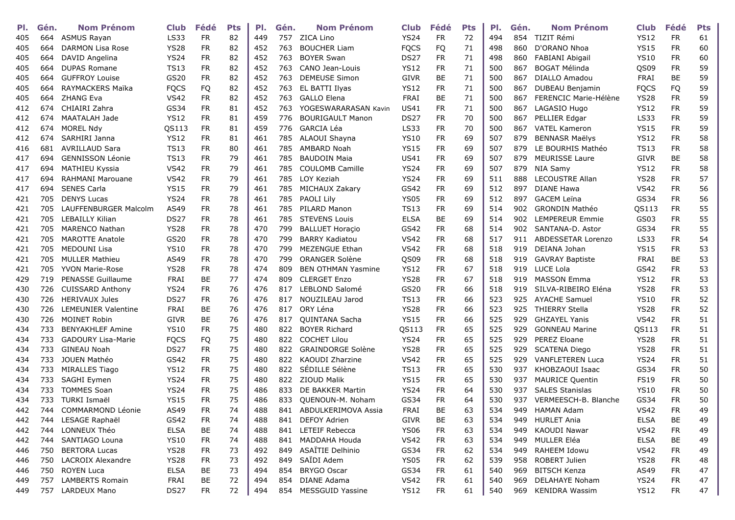| PI. | Gén. | <b>Nom Prénom</b>          | <b>Club</b>      | Fédé      | <b>Pts</b> | PI. | Gén. | <b>Nom Prénom</b>         | Club        | Fédé       | <b>Pts</b> | PI. | Gén. | <b>Nom Prénom</b>       | <b>Club</b> | Fédé      | <b>Pts</b> |
|-----|------|----------------------------|------------------|-----------|------------|-----|------|---------------------------|-------------|------------|------------|-----|------|-------------------------|-------------|-----------|------------|
| 405 | 664  | <b>ASMUS Rayan</b>         | <b>LS33</b>      | <b>FR</b> | 82         | 449 | 757  | ZICA Lino                 | <b>YS24</b> | <b>FR</b>  | 72         | 494 | 854  | TIZIT Rémi              | <b>YS12</b> | <b>FR</b> | 61         |
| 405 | 664  | <b>DARMON Lisa Rose</b>    | <b>YS28</b>      | <b>FR</b> | 82         | 452 | 763  | <b>BOUCHER Liam</b>       | <b>FQCS</b> | FQ         | 71         | 498 | 860  | D'ORANO Nhoa            | <b>YS15</b> | <b>FR</b> | 60         |
| 405 | 664  | DAVID Angelina             | <b>YS24</b>      | <b>FR</b> | 82         | 452 | 763  | <b>BOYER Swan</b>         | <b>DS27</b> | <b>FR</b>  | 71         | 498 | 860  | FABIANI Abigail         | <b>YS10</b> | <b>FR</b> | 60         |
| 405 | 664  | <b>DUPAS Romane</b>        | <b>TS13</b>      | <b>FR</b> | 82         | 452 | 763  | CANO Jean-Louis           | <b>YS12</b> | <b>FR</b>  | 71         | 500 | 867  | <b>BOGAT Mélinda</b>    | QS09        | <b>FR</b> | 59         |
| 405 | 664  | <b>GUFFROY Louise</b>      | GS20             | FR.       | 82         | 452 | 763  | <b>DEMEUSE Simon</b>      | <b>GIVR</b> | BE.        | 71         | 500 | 867  | <b>DIALLO Amadou</b>    | FRAI        | BE        | 59         |
| 405 | 664  | RAYMACKERS Maïka           | <b>FQCS</b>      | FQ        | 82         | 452 | 763  | EL BATTI Ilyas            | <b>YS12</b> | <b>FR</b>  | 71         | 500 | 867  | <b>DUBEAU Benjamin</b>  | <b>FQCS</b> | FQ        | 59         |
| 405 | 664  | <b>ZHANG Eva</b>           | <b>VS42</b>      | <b>FR</b> | 82         | 452 | 763  | <b>GALLO Elena</b>        | <b>FRAI</b> | BE         | 71         | 500 | 867  | FERENCIC Marie-Hélène   | <b>YS28</b> | <b>FR</b> | 59         |
| 412 | 674  | CHIAIRI Zahra              | GS34             | <b>FR</b> | 81         | 452 | 763  | YOGESWARARASAN Kavin      | <b>US41</b> | FR         | 71         | 500 | 867  | LAGASIO Hugo            | <b>YS12</b> | <b>FR</b> | 59         |
| 412 | 674  | MAATALAH Jade              | <b>YS12</b>      | <b>FR</b> | 81         | 459 | 776  | <b>BOURIGAULT Manon</b>   | <b>DS27</b> | <b>FR</b>  | 70         | 500 | 867  | PELLIER Edgar           | <b>LS33</b> | <b>FR</b> | 59         |
| 412 | 674  | MOREL Ndy                  | QS113            | <b>FR</b> | 81         | 459 | 776  | <b>GARCIA Léa</b>         | <b>LS33</b> | <b>FR</b>  | 70         | 500 | 867  | <b>VATEL Kameron</b>    | <b>YS15</b> | <b>FR</b> | 59         |
| 412 | 674  | SARHIRI Janna              | <b>YS12</b>      | FR.       | 81         | 461 | 785  | ALAOUI Shayna             | <b>YS10</b> | <b>FR</b>  | 69         | 507 | 879  | <b>BENNASR Maëlys</b>   | <b>YS12</b> | <b>FR</b> | 58         |
| 416 | 681  | <b>AVRILLAUD Sara</b>      | <b>TS13</b>      | <b>FR</b> | 80         | 461 | 785  | AMBARD Noah               | <b>YS15</b> | <b>FR</b>  | 69         | 507 | 879  | LE BOURHIS Mathéo       | <b>TS13</b> | <b>FR</b> | 58         |
| 417 | 694  | <b>GENNISSON Léonie</b>    | <b>TS13</b>      | <b>FR</b> | 79         | 461 | 785  | <b>BAUDOIN Maia</b>       | <b>US41</b> | <b>FR</b>  | 69         | 507 | 879  | <b>MEURISSE Laure</b>   | <b>GIVR</b> | BE        | 58         |
| 417 | 694  | MATHIEU Kyssia             | VS42             | <b>FR</b> | 79         | 461 | 785  | <b>COULOMB Camille</b>    | <b>YS24</b> | <b>FR</b>  | 69         | 507 | 879  | NIA Samy                | <b>YS12</b> | <b>FR</b> | 58         |
| 417 | 694  | <b>RAHMANI Marouane</b>    | VS42             | <b>FR</b> | 79         | 461 | 785  | LOY Keziah                | <b>YS24</b> | <b>FR</b>  | 69         | 511 | 888  | <b>LECOUSTRE Allan</b>  | <b>YS28</b> | <b>FR</b> | 57         |
| 417 | 694  | <b>SENES Carla</b>         | <b>YS15</b>      | <b>FR</b> | 79         | 461 | 785  | MICHAUX Zakary            | GS42        | ${\sf FR}$ | 69         | 512 | 897  | <b>DIANE Hawa</b>       | <b>VS42</b> | <b>FR</b> | 56         |
| 421 | 705  | <b>DENYS Lucas</b>         | <b>YS24</b>      | FR.       | 78         | 461 | 785  | <b>PAOLI Lily</b>         | <b>YS05</b> | FR         | 69         | 512 | 897  | <b>GACEM Leïna</b>      | GS34        | <b>FR</b> | 56         |
| 421 | 705  | LAUFFENBURGER Malcolm      | AS49             | FR.       | 78         | 461 | 785  | PILARD Manon              | <b>TS13</b> | FR         | 69         | 514 | 902  | GRONDIN Mathéo          | QS113       | <b>FR</b> | 55         |
| 421 | 705  | LEBAILLY Kilian            | <b>DS27</b>      | FR        | 78         | 461 | 785  | <b>STEVENS Louis</b>      | <b>ELSA</b> | BE         | 69         | 514 | 902  | <b>LEMPEREUR Emmie</b>  | GS03        | FR.       | 55         |
| 421 | 705  | <b>MARENCO Nathan</b>      | <b>YS28</b>      | <b>FR</b> | 78         | 470 | 799  | <b>BALLUET Horaçio</b>    | GS42        | ${\sf FR}$ | 68         | 514 | 902  | SANTANA-D. Astor        | GS34        | <b>FR</b> | 55         |
| 421 | 705  | <b>MAROTTE Anatole</b>     | GS20             | <b>FR</b> | 78         | 470 | 799  | <b>BARRY Kadiatou</b>     | <b>VS42</b> | <b>FR</b>  | 68         | 517 | 911  | ABDESSETAR Lorenzo      | LS33        | <b>FR</b> | 54         |
| 421 | 705  | <b>MEDOUNI Lisa</b>        | <b>YS10</b>      | <b>FR</b> | 78         | 470 | 799  | <b>MEZENGUE Ethan</b>     | <b>VS42</b> | FR         | 68         | 518 | 919  | DEIANA Johan            | <b>YS15</b> | <b>FR</b> | 53         |
| 421 | 705  | <b>MULLER Mathieu</b>      | AS49             | <b>FR</b> | 78         | 470 | 799  | <b>ORANGER Solène</b>     | QS09        | <b>FR</b>  | 68         | 518 | 919  | <b>GAVRAY Baptiste</b>  | FRAI        | <b>BE</b> | 53         |
| 421 | 705  | <b>YVON Marie-Rose</b>     | <b>YS28</b>      | <b>FR</b> | 78         | 474 | 809  | <b>BEN OTHMAN Yasmine</b> | <b>YS12</b> | <b>FR</b>  | 67         | 518 | 919  | LUCE Lola               | GS42        | <b>FR</b> | 53         |
| 429 | 719  | <b>PENASSE Guillaume</b>   | FRAI             | BE        | 77         | 474 | 809  | <b>CLERGET Enzo</b>       | <b>YS28</b> | <b>FR</b>  | 67         | 518 | 919  | <b>MASSON Emma</b>      | <b>YS12</b> | <b>FR</b> | 53         |
| 430 | 726  | <b>CUISSARD Anthony</b>    | <b>YS24</b>      | <b>FR</b> | 76         | 476 | 817  | LEBLOND Salomé            | GS20        | <b>FR</b>  | 66         | 518 | 919  | SILVA-RIBEIRO Eléna     | <b>YS28</b> | <b>FR</b> | 53         |
| 430 | 726  | <b>HERIVAUX Jules</b>      | DS <sub>27</sub> | <b>FR</b> | 76         | 476 | 817  | NOUZILEAU Jarod           | TS13        | <b>FR</b>  | 66         | 523 | 925  | <b>AYACHE Samuel</b>    | <b>YS10</b> | <b>FR</b> | 52         |
| 430 | 726  | <b>LEMEUNIER Valentine</b> | <b>FRAI</b>      | BE        | 76         | 476 | 817  | ORY Léna                  | <b>YS28</b> | <b>FR</b>  | 66         | 523 | 925  | <b>THIERRY Stella</b>   | <b>YS28</b> | <b>FR</b> | 52         |
| 430 | 726  | <b>MOINET Robin</b>        | <b>GIVR</b>      | BE        | 76         | 476 | 817  | QUINTANA Sacha            | <b>YS15</b> | <b>FR</b>  | 66         | 525 | 929  | <b>GHZAYEL Yanis</b>    | <b>VS42</b> | <b>FR</b> | 51         |
| 434 | 733  | <b>BENYAKHLEF Amine</b>    | <b>YS10</b>      | FR        | 75         | 480 | 822  | <b>BOYER Richard</b>      | QS113       | FR         | 65         | 525 | 929  | <b>GONNEAU Marine</b>   | QS113       | FR.       | 51         |
| 434 | 733  | <b>GADOURY Lisa-Marie</b>  | <b>FQCS</b>      | FQ        | 75         | 480 | 822  | <b>COCHET Lilou</b>       | <b>YS24</b> | <b>FR</b>  | 65         | 525 | 929  | PEREZ Eloane            | <b>YS28</b> | <b>FR</b> | 51         |
| 434 | 733  | <b>GINEAU Noah</b>         | <b>DS27</b>      | FR        | 75         | 480 | 822  | <b>GRAINDORGE Solène</b>  | <b>YS28</b> | FR         | 65         | 525 | 929  | <b>SCATENA Diego</b>    | <b>YS28</b> | <b>FR</b> | 51         |
| 434 | 733  | JOUEN Mathéo               | GS42             | <b>FR</b> | 75         | 480 | 822  | KAOUDI Zharzine           | <b>VS42</b> | <b>FR</b>  | 65         | 525 | 929  | <b>VANFLETEREN Luca</b> | <b>YS24</b> | <b>FR</b> | 51         |
| 434 | 733  | <b>MIRALLES Tiago</b>      | <b>YS12</b>      | <b>FR</b> | 75         | 480 | 822  | SÉDILLE Sélène            | <b>TS13</b> | <b>FR</b>  | 65         | 530 | 937  | KHOBZAOUI Isaac         | GS34        | <b>FR</b> | 50         |
| 434 | 733  | SAGHI Eymen                | <b>YS24</b>      | <b>FR</b> | 75         | 480 | 822  | ZIOUD Malik               | <b>YS15</b> | <b>FR</b>  | 65         | 530 | 937  | <b>MAURICE Quentin</b>  | <b>FS19</b> | <b>FR</b> | 50         |
| 434 | 733  | <b>TOMMES Soan</b>         | <b>YS24</b>      | <b>FR</b> | 75         | 486 | 833  | DE BAKKER Martin          | <b>YS24</b> | FR         | 64         | 530 | 937  | <b>SALES Stanislas</b>  | <b>YS10</b> | <b>FR</b> | 50         |
| 434 | 733  | TURKI Ismaël               | <b>YS15</b>      | FR.       | 75         | 486 | 833  | QUENOUN-M. Noham          | GS34        | <b>FR</b>  | 64         | 530 | 937  | VERMEESCH-B. Blanche    | GS34        | <b>FR</b> | 50         |
| 442 | 744  | <b>COMMARMOND Léonie</b>   | AS49             | <b>FR</b> | 74         | 488 | 841  | ABDULKERIMOVA Assia       | FRAI        | <b>BE</b>  | 63         | 534 | 949  | <b>HAMAN Adam</b>       | <b>VS42</b> | <b>FR</b> | 49         |
| 442 |      | 744 LESAGE Raphaël         | GS42             | <b>FR</b> | 74         | 488 |      | 841 DEFOY Adrien          | <b>GIVR</b> | BE         | 63         | 534 | 949  | <b>HURLET Ania</b>      | <b>ELSA</b> | BE        | 49         |
| 442 | 744  | LONNEUX Théo               | <b>ELSA</b>      | BE        | 74         | 488 |      | 841 LETEIF Rebecca        | <b>YS06</b> | <b>FR</b>  | 63         | 534 | 949  | <b>KAOUDI Nawar</b>     | <b>VS42</b> | <b>FR</b> | 49         |
| 442 | 744  | SANTIAGO Louna             | <b>YS10</b>      | <b>FR</b> | 74         | 488 | 841  | MADDAHA Houda             | <b>VS42</b> | <b>FR</b>  | 63         | 534 | 949  | MULLER Eléa             | <b>ELSA</b> | BE        | 49         |
| 446 | 750  | <b>BERTORA Lucas</b>       | <b>YS28</b>      | <b>FR</b> | 73         | 492 |      | 849 ASAÏTIE Delhinio      | GS34        | <b>FR</b>  | 62         | 534 | 949  | RAHEEM Idowu            | <b>VS42</b> | <b>FR</b> | 49         |
| 446 | 750  | LACROIX Alexandre          | <b>YS28</b>      | <b>FR</b> | 73         | 492 | 849  | SAÏDI Adem                | <b>YS05</b> | <b>FR</b>  | 62         | 539 | 958  | ROBERT Julien           | <b>YS28</b> | FR.       | 48         |
| 446 |      | 750 ROYEN Luca             | <b>ELSA</b>      | BE        | 73         | 494 | 854  | <b>BRYGO Oscar</b>        | GS34        | <b>FR</b>  | 61         | 540 | 969  | <b>BITSCH Kenza</b>     | AS49        | FR.       | 47         |
| 449 | 757  | <b>LAMBERTS Romain</b>     | FRAI             | BE        | 72         | 494 | 854  | DIANE Adama               | <b>VS42</b> | <b>FR</b>  | 61         | 540 | 969  | DELAHAYE Noham          | <b>YS24</b> | FR.       | 47         |
| 449 | 757  | <b>LARDEUX Mano</b>        | DS27             | <b>FR</b> | 72         | 494 |      | 854 MESSGUID Yassine      | <b>YS12</b> | <b>FR</b>  | 61         | 540 | 969  | <b>KENIDRA Wassim</b>   | <b>YS12</b> | FR        | 47         |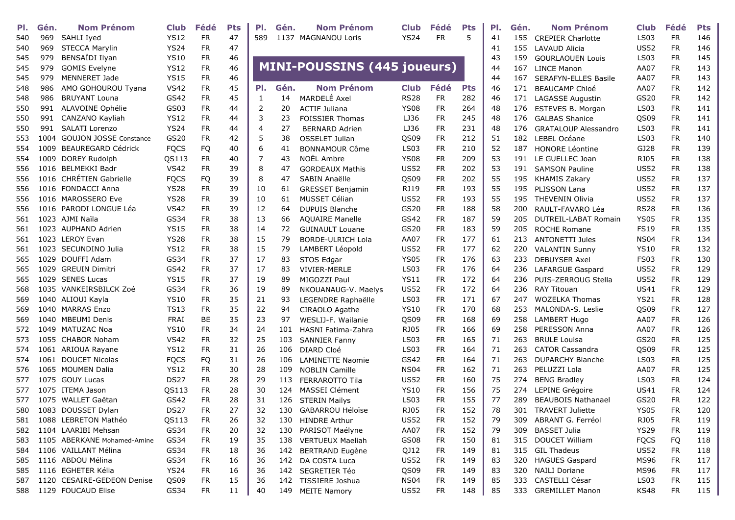| PI. | Gén. | <b>Nom Prénom</b>             | <b>Club</b> | Fédé      | <b>Pts</b> | PI.            | Gén. | <b>Nom Prénom</b>                  | Club        | Fédé      | <b>Pts</b> | PI. | Gén. | <b>Nom Prénom</b>           | <b>Club</b> | Fédé      | Pts |
|-----|------|-------------------------------|-------------|-----------|------------|----------------|------|------------------------------------|-------------|-----------|------------|-----|------|-----------------------------|-------------|-----------|-----|
| 540 | 969  | SAHLI Iyed                    | <b>YS12</b> | <b>FR</b> | 47         | 589            |      | 1137 MAGNANOU Loris                | <b>YS24</b> | <b>FR</b> | 5          | 41  |      | 155 CREPIER Charlotte       | <b>LS03</b> | <b>FR</b> | 146 |
| 540 | 969  | <b>STECCA Marylin</b>         | <b>YS24</b> | <b>FR</b> | 47         |                |      |                                    |             |           |            | 41  | 155  | <b>LAVAUD Alicia</b>        | <b>US52</b> | <b>FR</b> | 146 |
| 545 | 979  | BENSAÏDI Ilyan                | <b>YS10</b> | <b>FR</b> | 46         |                |      |                                    |             |           |            | 43  | 159  | <b>GOURLAOUEN Louis</b>     | <b>LS03</b> | <b>FR</b> | 145 |
| 545 | 979  | <b>GOMIS Evelyne</b>          | <b>YS12</b> | <b>FR</b> | 46         |                |      | <b>MINI-POUSSINS (445 joueurs)</b> |             |           |            | 44  | 167  | <b>LINCE Manon</b>          | AA07        | <b>FR</b> | 143 |
| 545 | 979  | MENNERET Jade                 | <b>YS15</b> | <b>FR</b> | 46         |                |      |                                    |             |           |            | 44  | 167  | <b>SERAFYN-ELLES Basile</b> | AA07        | <b>FR</b> | 143 |
| 548 | 986  | AMO GOHOUROU Tyana            | <b>VS42</b> | <b>FR</b> | 45         | PI.            | Gén. | <b>Nom Prénom</b>                  | <b>Club</b> | Fédé      | <b>Pts</b> | 46  | 171  | <b>BEAUCAMP Chloé</b>       | AA07        | <b>FR</b> | 142 |
| 548 | 986  | <b>BRUYANT Louna</b>          | GS42        | FR        | 45         | 1              | 14   | MARDELÉ Axel                       | <b>RS28</b> | <b>FR</b> | 282        | 46  | 171  | LAGASSE Augustin            | GS20        | <b>FR</b> | 142 |
| 550 | 991  | ALAVOINE Ophélie              | GS03        | <b>FR</b> | 44         | 2              | 20   | <b>ACTIF Juliana</b>               | <b>YS08</b> | <b>FR</b> | 264        | 48  | 176  | ESTEVES B. Morgan           | <b>LS03</b> | <b>FR</b> | 141 |
| 550 | 991  | CANZANO Kayliah               | <b>YS12</b> | <b>FR</b> | 44         | 3              | 23   | <b>FOISSIER Thomas</b>             | LJ36        | <b>FR</b> | 245        | 48  | 176  | <b>GALBAS Shanice</b>       | QS09        | <b>FR</b> | 141 |
| 550 | 991  | SALATI Lorenzo                | <b>YS24</b> | FR        | 44         | $\overline{4}$ | 27   | <b>BERNARD Adrien</b>              | LJ36        | <b>FR</b> | 231        | 48  | 176  | <b>GRATALOUP Alessandro</b> | <b>LS03</b> | <b>FR</b> | 141 |
| 553 | 1004 | <b>GOUJON JOSSE Constance</b> | GS20        | FR        | 42         | 5              | 38   | <b>OSSELET Julian</b>              | QS09        | <b>FR</b> | 212        | 51  | 182  | LEBEL Océane                | <b>LS03</b> | <b>FR</b> | 140 |
| 554 | 1009 | <b>BEAUREGARD Cédrick</b>     | <b>FQCS</b> | FQ        | 40         | 6              | 41   | <b>BONNAMOUR Côme</b>              | <b>LS03</b> | <b>FR</b> | 210        | 52  | 187  | <b>HONORE Léontine</b>      | GJ28        | <b>FR</b> | 139 |
| 554 |      | 1009 DOREY Rudolph            | QS113       | <b>FR</b> | 40         | 7              | 43   | NOËL Ambre                         | <b>YS08</b> | <b>FR</b> | 209        | 53  | 191  | LE GUELLEC Joan             | <b>RJ05</b> | FR        | 138 |
| 556 |      | 1016 BELMEKKI Badr            | <b>VS42</b> | <b>FR</b> | 39         | 8              | 47   | <b>GORDEAUX Mathis</b>             | <b>US52</b> | <b>FR</b> | 202        | 53  | 191  | <b>SAMSON Pauline</b>       | <b>US52</b> | <b>FR</b> | 138 |
| 556 |      | 1016 CHRÉTIEN Gabrielle       | <b>FQCS</b> | FQ        | 39         | 8              | 47   | SABIN Anaëlle                      | QS09        | <b>FR</b> | 202        | 55  | 195  | <b>KHAMIS Zakary</b>        | <b>US52</b> | <b>FR</b> | 137 |
| 556 |      | 1016 FONDACCI Anna            | <b>YS28</b> | <b>FR</b> | 39         | 10             | 61   | <b>GRESSET Benjamin</b>            | <b>RJ19</b> | <b>FR</b> | 193        | 55  | 195  | <b>PLISSON Lana</b>         | <b>US52</b> | <b>FR</b> | 137 |
| 556 |      | 1016 MAROSSERO Eve            | <b>YS28</b> | <b>FR</b> | 39         | 10             | 61   | MUSSET Célian                      | <b>US52</b> | <b>FR</b> | 193        | 55  | 195  | <b>THEVENIN Olivia</b>      | <b>US52</b> | <b>FR</b> | 137 |
| 556 |      | 1016 PARODI LONGUE Léa        | <b>VS42</b> | <b>FR</b> | 39         | 12             | 64   | <b>DUPUIS Blanche</b>              | GS20        | <b>FR</b> | 188        | 58  | 200  | RAULT-FAVARO Léa            | <b>RS28</b> | <b>FR</b> | 136 |
| 561 |      | 1023 AJMI Naïla               | GS34        | FR        | 38         | 13             | 66   | <b>AQUAIRE Manelle</b>             | GS42        | <b>FR</b> | 187        | 59  | 205  | DUTREIL-LABAT Romain        | <b>YS05</b> | <b>FR</b> | 135 |
| 561 |      | 1023 AUPHAND Adrien           | <b>YS15</b> | <b>FR</b> | 38         | 14             | 72   | <b>GUINAULT Louane</b>             | GS20        | <b>FR</b> | 183        | 59  | 205  | ROCHE Romane                | <b>FS19</b> | <b>FR</b> | 135 |
| 561 |      | 1023 LEROY Evan               | <b>YS28</b> | <b>FR</b> | 38         | 15             | 79   | <b>BORDE-ULRICH Lola</b>           | AA07        | <b>FR</b> | 177        | 61  | 213  | <b>ANTONETTI Jules</b>      | <b>NS04</b> | <b>FR</b> | 134 |
| 561 |      | 1023 SECUNDINO Julia          | <b>YS12</b> | FR        | 38         | 15             | 79   | LAMBERT Léopold                    | <b>US52</b> | <b>FR</b> | 177        | 62  | 220  | <b>VALANTIN Sunny</b>       | <b>YS10</b> | <b>FR</b> | 132 |
| 565 |      | 1029 DOUFFI Adam              | GS34        | <b>FR</b> | 37         | 17             | 83   | STOS Edgar                         | YS05        | <b>FR</b> | 176        | 63  | 233  | <b>DEBUYSER Axel</b>        | <b>FS03</b> | <b>FR</b> | 130 |
| 565 |      | 1029 GREUIN Dimitri           | GS42        | <b>FR</b> | 37         | 17             | 83   | <b>VIVIER-MERLE</b>                | LS03        | <b>FR</b> | 176        | 64  | 236  | LAFARGUE Gaspard            | <b>US52</b> | <b>FR</b> | 129 |
| 565 |      | 1029 SENES Lucas              | <b>YS15</b> | <b>FR</b> | 37         | 19             | 89   | MIGOZZI Paul                       | <b>YS11</b> | <b>FR</b> | 172        | 64  | 236  | PUIS-ZERROUG Stella         | <b>US52</b> | <b>FR</b> | 129 |
| 568 |      | 1035 VANKEIRSBILCK Zoé        | GS34        | <b>FR</b> | 36         | 19             | 89   | NKOUANAUG-V. Maelys                | <b>US52</b> | <b>FR</b> | 172        | 64  | 236  | <b>RAY Titouan</b>          | <b>US41</b> | <b>FR</b> | 129 |
| 569 |      | 1040 ALIOUI Kayla             | <b>YS10</b> | <b>FR</b> | 35         | 21             | 93   | LEGENDRE Raphaëlle                 | LS03        | <b>FR</b> | 171        | 67  | 247  | <b>WOZELKA Thomas</b>       | <b>YS21</b> | <b>FR</b> | 128 |
| 569 |      | 1040 MARRAS Enzo              | <b>TS13</b> | <b>FR</b> | 35         | 22             | 94   | CIRAOLO Agathe                     | <b>YS10</b> | <b>FR</b> | 170        | 68  | 253  | MALONDA-S. Leslie           | QS09        | <b>FR</b> | 127 |
| 569 |      | 1040 MBEUMI Denis             | <b>FRAI</b> | BE        | 35         | 23             | 97   | WESLIJ-F. Wailanie                 | QS09        | <b>FR</b> | 168        | 69  | 258  | <b>LAMBERT Hugo</b>         | AA07        | <b>FR</b> | 126 |
| 572 |      | 1049 MATUZAC Noa              | <b>YS10</b> | <b>FR</b> | 34         | 24             | 101  | HASNI Fatima-Zahra                 | <b>RJ05</b> | <b>FR</b> | 166        | 69  | 258  | PERESSON Anna               | AA07        | <b>FR</b> | 126 |
| 573 |      | 1055 CHABOR Noham             | <b>VS42</b> | <b>FR</b> | 32         | 25             | 103  | <b>SANNIER Fanny</b>               | <b>LS03</b> | <b>FR</b> | 165        | 71  | 263  | <b>BRULE Louisa</b>         | GS20        | <b>FR</b> | 125 |
| 574 |      | 1061 ARIOUA Rayane            | <b>YS12</b> | <b>FR</b> | 31         | 26             | 106  | DIARD Cloé                         | <b>LS03</b> | <b>FR</b> | 164        | 71  | 263  | <b>CATOR Cassandra</b>      | QS09        | <b>FR</b> | 125 |
| 574 |      | 1061 DOUCET Nicolas           | <b>FQCS</b> | FQ        | 31         | 26             | 106  | <b>LAMINETTE Naomie</b>            | GS42        | <b>FR</b> | 164        | 71  | 263  | <b>DUPARCHY Blanche</b>     | <b>LS03</b> | <b>FR</b> | 125 |
| 576 |      | 1065 MOUMEN Dalia             | <b>YS12</b> | <b>FR</b> | 30         | 28             | 109  | <b>NOBLIN Camille</b>              | <b>NS04</b> | <b>FR</b> | 162        | 71  | 263  | PELUZZI Lola                | AA07        | <b>FR</b> | 125 |
| 577 |      | 1075 GOUY Lucas               | <b>DS27</b> | <b>FR</b> | 28         | 29             | 113  | FERRAROTTO Tila                    | <b>US52</b> | <b>FR</b> | 160        | 75  | 274  | <b>BENG Bradley</b>         | <b>LS03</b> | <b>FR</b> | 124 |
| 577 |      | 1075 ITEMA Jason              | QS113       | <b>FR</b> | 28         | 30             | 124  | MASSEI Clément                     | <b>YS10</b> | <b>FR</b> | 156        | 75  | 274  | LEPINE Grégoire             | <b>US41</b> | <b>FR</b> | 124 |
| 577 |      | 1075 WALLET Gaëtan            | GS42        | <b>FR</b> | 28         | 31             | 126  |                                    | <b>LS03</b> | <b>FR</b> | 155        | 77  | 289  | <b>BEAUBOIS Nathanael</b>   | GS20        | <b>FR</b> | 122 |
| 580 |      | 1083 DOUSSET Dylan            | <b>DS27</b> | FR        | 27         | 32             | 130  | <b>STERIN Mailys</b>               | <b>RJ05</b> | <b>FR</b> | 152        | 78  | 301  | <b>TRAVERT Juliette</b>     | <b>YS05</b> | <b>FR</b> | 120 |
|     |      |                               |             |           |            |                |      | GABARROU Héloïse                   |             |           |            |     |      |                             |             |           |     |
| 581 |      | 1088 LEBRETON Mathéo          | QS113       | <b>FR</b> | 26         | 32             |      | 130 HINDRE Arthur                  | <b>US52</b> | <b>FR</b> | 152        | 79  |      | 309 ABRANT G. Ferréol       | <b>RJ05</b> | <b>FR</b> | 119 |
| 582 |      | 1104 LAARIBI Mehsan           | GS34        | <b>FR</b> | 20         | 32             | 130  | PARISOT Maélyne                    | AA07        | <b>FR</b> | 152        | 79  | 309  | <b>BASSET Julia</b>         | <b>YS29</b> | <b>FR</b> | 119 |
| 583 |      | 1105 ABERKANE Mohamed-Amine   | GS34        | <b>FR</b> | 19         | 35             |      | 138 VERTUEUX Maeliah               | GS08        | <b>FR</b> | 150        | 81  | 315  | DOUCET William              | <b>FQCS</b> | FQ        | 118 |
| 584 |      | 1106 VAILLANT Mélina          | GS34        | <b>FR</b> | 18         | 36             | 142  | BERTRAND Eugène                    | QJ12        | <b>FR</b> | 149        | 81  |      | 315 GIL Thadeus             | <b>US52</b> | FR.       | 118 |
| 585 |      | 1116 ABDOU Mélina             | GS34        | <b>FR</b> | 16         | 36             |      | 142 DA COSTA Luca                  | <b>US52</b> | <b>FR</b> | 149        | 83  | 320  | <b>HAGUES Gaspard</b>       | MS96        | FR.       | 117 |
| 585 |      | 1116 EGHETER Kélia            | <b>YS24</b> | <b>FR</b> | 16         | 36             |      | 142 SEGRETIER Téo                  | QS09        | <b>FR</b> | 149        | 83  | 320  | <b>NAILI Doriane</b>        | <b>MS96</b> | FR.       | 117 |
| 587 |      | 1120 CESAIRE-GEDEON Denise    | QS09        | <b>FR</b> | 15         | 36             |      | 142 TISSIERE Joshua                | <b>NS04</b> | <b>FR</b> | 149        | 85  |      | 333 CASTELLI César          | LS03        | <b>FR</b> | 115 |
| 588 |      | 1129 FOUCAUD Elise            | GS34        | <b>FR</b> | 11         | 40             |      | 149 MEITE Namory                   | <b>US52</b> | FR        | 148        | 85  |      | 333 GREMILLET Manon         | KS48        | <b>FR</b> | 115 |

| m.           | <b>Nom Prénom</b>               | <b>Club</b> | Fédé      | <b>Pts</b> | PI. | Gén. | <b>Nom Prénom</b>           | <b>Club</b> | Fédé      | <b>Pts</b> |  |
|--------------|---------------------------------|-------------|-----------|------------|-----|------|-----------------------------|-------------|-----------|------------|--|
|              | 37 MAGNANOU Loris               | <b>YS24</b> | <b>FR</b> | 5          | 41  |      | 155 CREPIER Charlotte       | <b>LS03</b> | <b>FR</b> | 146        |  |
|              |                                 |             |           |            | 41  | 155  | LAVAUD Alicia               | <b>US52</b> | <b>FR</b> | 146        |  |
|              |                                 |             |           |            | 43  | 159  | <b>GOURLAOUEN Louis</b>     | <b>LS03</b> | <b>FR</b> | 145        |  |
|              | <b>I-POUSSINS (445 joueurs)</b> |             |           |            | 44  | 167  | <b>LINCE Manon</b>          | AA07        | <b>FR</b> | 143        |  |
|              |                                 |             |           |            | 44  | 167  | <b>SERAFYN-ELLES Basile</b> | AA07        | FR.       | 143        |  |
| m.           | <b>Nom Prénom</b>               | <b>Club</b> | Fédé      | <b>Pts</b> | 46  |      | 171 BEAUCAMP Chloé          | AA07        | <b>FR</b> | 142        |  |
| 4            | MARDELÉ Axel                    | <b>RS28</b> | <b>FR</b> | 282        | 46  |      | 171 LAGASSE Augustin        | GS20        | FR.       | 142        |  |
| 0            | <b>ACTIF Juliana</b>            | <b>YS08</b> | <b>FR</b> | 264        | 48  | 176  | ESTEVES B. Morgan           | <b>LS03</b> | <b>FR</b> | 141        |  |
| 3            | <b>FOISSIER Thomas</b>          | LJ36        | FR.       | 245        | 48  | 176  | <b>GALBAS Shanice</b>       | <b>QS09</b> | FR.       | 141        |  |
| 7            | <b>BERNARD Adrien</b>           | LJ36        | <b>FR</b> | 231        | 48  | 176  | <b>GRATALOUP Alessandro</b> | <b>LS03</b> | <b>FR</b> | 141        |  |
| 8            | OSSELET Julian                  | QS09        | <b>FR</b> | 212        | 51  |      | 182 LEBEL Océane            | <b>LS03</b> | <b>FR</b> | 140        |  |
| 1            | <b>BONNAMOUR Côme</b>           | <b>LS03</b> | <b>FR</b> | 210        | 52  | 187  | <b>HONORE Léontine</b>      | GJ28        | FR.       | 139        |  |
| 3            | NOËL Ambre                      | <b>YS08</b> | FR.       | 209        | 53  |      | 191 LE GUELLEC Joan         | <b>RJ05</b> | FR.       | 138        |  |
| 7            | <b>GORDEAUX Mathis</b>          | <b>US52</b> | FR.       | 202        | 53  | 191  | <b>SAMSON Pauline</b>       | <b>US52</b> | FR.       | 138        |  |
| 7            | SABIN Anaëlle                   | QS09        | FR.       | 202        | 55  | 195  | <b>KHAMIS Zakary</b>        | <b>US52</b> | FR.       | 137        |  |
| $\mathbf{1}$ | <b>GRESSET Benjamin</b>         | <b>RJ19</b> | <b>FR</b> | 193        | 55  |      | 195 PLISSON Lana            | <b>US52</b> | FR.       | 137        |  |
| 1            | <b>MUSSET Célian</b>            | <b>US52</b> | FR.       | 193        | 55  | 195  | THEVENIN Olivia             | <b>US52</b> | <b>FR</b> | 137        |  |
| 4            | <b>DUPUIS Blanche</b>           | GS20        | FR        | 188        | 58  | 200  | RAULT-FAVARO Léa            | <b>RS28</b> | <b>FR</b> | 136        |  |
| 6            | <b>AQUAIRE Manelle</b>          | GS42        | FR.       | 187        | 59  | 205  | DUTREIL-LABAT Romain        | <b>YS05</b> | FR.       | 135        |  |
| 2            | <b>GUINAULT Louane</b>          | GS20        | FR.       | 183        | 59  | 205  | <b>ROCHE Romane</b>         | <b>FS19</b> | FR.       | 135        |  |
| 9            | BORDE-ULRICH Lola               | AA07        | <b>FR</b> | 177        | 61  | 213  | <b>ANTONETTI Jules</b>      | <b>NS04</b> | <b>FR</b> | 134        |  |
| 9            | LAMBERT Léopold                 | <b>US52</b> | <b>FR</b> | 177        | 62  | 220  | <b>VALANTIN Sunny</b>       | <b>YS10</b> | FR.       | 132        |  |
| 3            | STOS Edgar                      | <b>YS05</b> | <b>FR</b> | 176        | 63  | 233  | <b>DEBUYSER Axel</b>        | <b>FS03</b> | <b>FR</b> | 130        |  |
| 3            | <b>VIVIER-MERLE</b>             | <b>LS03</b> | <b>FR</b> | 176        | 64  | 236  | LAFARGUE Gaspard            | <b>US52</b> | <b>FR</b> | 129        |  |
| 9            | MIGOZZI Paul                    | <b>YS11</b> | <b>FR</b> | 172        | 64  |      | 236 PUIS-ZERROUG Stella     | <b>US52</b> | <b>FR</b> | 129        |  |
| 9            | NKOUANAUG-V. Maelys             | <b>US52</b> | <b>FR</b> | 172        | 64  |      | 236 RAY Titouan             | <b>US41</b> | <b>FR</b> | 129        |  |
| 3            | LEGENDRE Raphaëlle              | <b>LS03</b> | <b>FR</b> | 171        | 67  | 247  | <b>WOZELKA Thomas</b>       | <b>YS21</b> | <b>FR</b> | 128        |  |
| 4            | <b>CIRAOLO Agathe</b>           | <b>YS10</b> | FR.       | 170        | 68  | 253  | MALONDA-S. Leslie           | <b>QS09</b> | FR.       | 127        |  |
| 7            | WESLIJ-F. Wailanie              | <b>QS09</b> | FR.       | 168        | 69  | 258  | LAMBERT Hugo                | AA07        | FR.       | 126        |  |
| )1           | HASNI Fatima-Zahra              | <b>RJ05</b> | <b>FR</b> | 166        | 69  | 258  | PERESSON Anna               | AA07        | FR.       | 126        |  |
| )3           | <b>SANNIER Fanny</b>            | <b>LS03</b> | <b>FR</b> | 165        | 71  | 263  | <b>BRULE Louisa</b>         | GS20        | <b>FR</b> | 125        |  |
| )6           | DIARD Cloé                      | <b>LS03</b> | FR.       | 164        | 71  | 263  | <b>CATOR Cassandra</b>      | <b>QS09</b> | FR.       | 125        |  |
| )6           | <b>LAMINETTE Naomie</b>         | GS42        | FR.       | 164        | 71  |      | 263 DUPARCHY Blanche        | LS03        | FR.       | 125        |  |
| )9           | <b>NOBLIN Camille</b>           | <b>NS04</b> | FR.       | 162        | 71  | 263  | PELUZZI Lola                | AA07        | <b>FR</b> | 125        |  |
| L3           | FERRAROTTO Tila                 | <b>US52</b> | <b>FR</b> | 160        | 75  | 274  | <b>BENG Bradley</b>         | <b>LS03</b> | <b>FR</b> | 124        |  |
| 24           | MASSEI Clément                  | <b>YS10</b> | <b>FR</b> | 156        | 75  |      | 274 LEPINE Grégoire         | <b>US41</b> | <b>FR</b> | 124        |  |
| 26           | <b>STERIN Mailys</b>            | <b>LS03</b> | <b>FR</b> | 155        | 77  | 289  | <b>BEAUBOIS Nathanael</b>   | GS20        | <b>FR</b> | 122        |  |
| 30           | <b>GABARROU Héloïse</b>         | <b>RJ05</b> | FR.       | 152        | 78  | 301  | <b>TRAVERT Juliette</b>     | <b>YS05</b> | FR.       | 120        |  |
| 30           | <b>HINDRE Arthur</b>            | <b>US52</b> | <b>FR</b> | 152        | 79  | 309  | ABRANT G. Ferréol           | <b>RJ05</b> | FR.       | 119        |  |
| 30           | PARISOT Maélyne                 | AA07        | <b>FR</b> | 152        | 79  | 309  | <b>BASSET Julia</b>         | <b>YS29</b> | <b>FR</b> | 119        |  |
| 38           | <b>VERTUEUX Maeliah</b>         | <b>GS08</b> | FR.       | 150        | 81  | 315  | <b>DOUCET William</b>       | <b>FQCS</b> | FQ        | 118        |  |
| 12           | <b>BERTRAND Eugène</b>          | QJ12        | <b>FR</b> | 149        | 81  | 315  | <b>GIL Thadeus</b>          | <b>US52</b> | FR.       | 118        |  |
| 12           | DA COSTA Luca                   | <b>US52</b> | FR.       | 149        | 83  | 320  | <b>HAGUES Gaspard</b>       | <b>MS96</b> | FR.       | 117        |  |
| 12           | SEGRETIER Téo                   | QS09        | <b>FR</b> | 149        | 83  | 320  | <b>NAILI Doriane</b>        | <b>MS96</b> | <b>FR</b> | 117        |  |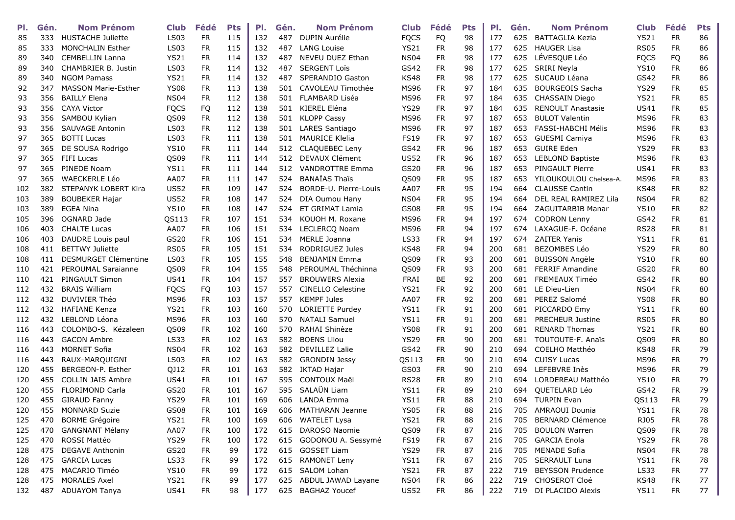| PI. | Gén. | <b>Nom Prénom</b>           | Club        | Fédé      | <b>Pts</b> | PI. | Gén. | <b>Nom Prénom</b>        | Club        | Fédé      | <b>Pts</b> | PI. | Gén. | <b>Nom Prénom</b>        | <b>Club</b>      | Fédé      | <b>Pts</b> |
|-----|------|-----------------------------|-------------|-----------|------------|-----|------|--------------------------|-------------|-----------|------------|-----|------|--------------------------|------------------|-----------|------------|
| 85  | 333  | <b>HUSTACHE Juliette</b>    | <b>LS03</b> | <b>FR</b> | 115        | 132 | 487  | <b>DUPIN Aurélie</b>     | <b>FQCS</b> | FQ        | 98         | 177 | 625  | BATTAGLIA Kezia          | <b>YS21</b>      | <b>FR</b> | 86         |
| 85  | 333  | <b>MONCHALIN Esther</b>     | <b>LS03</b> | <b>FR</b> | 115        | 132 | 487  | <b>LANG Louise</b>       | <b>YS21</b> | <b>FR</b> | 98         | 177 | 625  | <b>HAUGER Lisa</b>       | <b>RS05</b>      | <b>FR</b> | 86         |
| 89  | 340  | <b>CEMBELLIN Lanna</b>      | <b>YS21</b> | <b>FR</b> | 114        | 132 | 487  | NEVEU DUEZ Ethan         | <b>NS04</b> | <b>FR</b> | 98         | 177 | 625  | LÉVESQUE Léo             | <b>FQCS</b>      | FQ        | 86         |
| 89  | 340  | <b>CHAMBRIER B. Justin</b>  | <b>LS03</b> | <b>FR</b> | 114        | 132 | 487  | <b>SERGENT Loïs</b>      | GS42        | <b>FR</b> | 98         | 177 | 625  | SRIRI Neyla              | <b>YS10</b>      | <b>FR</b> | 86         |
| 89  | 340  | <b>NGOM Pamass</b>          | <b>YS21</b> | <b>FR</b> | 114        | 132 | 487  | SPERANDIO Gaston         | <b>KS48</b> | <b>FR</b> | 98         | 177 | 625  | SUCAUD Léana             | GS42             | FR.       | 86         |
| 92  | 347  | <b>MASSON Marie-Esther</b>  | <b>YS08</b> | <b>FR</b> | 113        | 138 | 501  | CAVOLEAU Timothée        | <b>MS96</b> | <b>FR</b> | 97         | 184 | 635  | <b>BOURGEOIS Sacha</b>   | <b>YS29</b>      | <b>FR</b> | 85         |
| 93  | 356  | <b>BAILLY Elena</b>         | <b>NS04</b> | <b>FR</b> | 112        | 138 | 501  | FLAMBARD Liséa           | <b>MS96</b> | <b>FR</b> | 97         | 184 | 635  | CHASSAIN Diego           | <b>YS21</b>      | <b>FR</b> | 85         |
| 93  | 356  | <b>CAYA Victor</b>          | <b>FQCS</b> | FQ        | 112        | 138 | 501  | KIEREL Eléna             | <b>YS29</b> | <b>FR</b> | 97         | 184 | 635  | <b>RENOULT Anastasie</b> | US41             | <b>FR</b> | 85         |
| 93  | 356  | SAMBOU Kylian               | QS09        | <b>FR</b> | 112        | 138 | 501  | <b>KLOPP Cassy</b>       | <b>MS96</b> | <b>FR</b> | 97         | 187 | 653  | <b>BULOT Valentin</b>    | <b>MS96</b>      | <b>FR</b> | 83         |
| 93  | 356  | <b>SAUVAGE Antonin</b>      | LS03        | <b>FR</b> | 112        | 138 | 501  | LARES Santiago           | <b>MS96</b> | <b>FR</b> | 97         | 187 | 653  | FASSI-HABCHI Mélis       | <b>MS96</b>      | <b>FR</b> | 83         |
| 97  | 365  | <b>BOTTI Lucas</b>          | LS03        | <b>FR</b> | 111        | 138 | 501  | <b>MAURICE Klelia</b>    | <b>FS19</b> | <b>FR</b> | 97         | 187 | 653  | <b>GUESMI Camiya</b>     | MS96             | <b>FR</b> | 83         |
| 97  | 365  | DE SOUSA Rodrigo            | <b>YS10</b> | <b>FR</b> | 111        | 144 | 512  | CLAQUEBEC Leny           | GS42        | <b>FR</b> | 96         | 187 | 653  | <b>GUIRE Eden</b>        | <b>YS29</b>      | <b>FR</b> | 83         |
| 97  | 365  | <b>FIFI Lucas</b>           | QS09        | <b>FR</b> | 111        | 144 | 512  | DEVAUX Clément           | <b>US52</b> | <b>FR</b> | 96         | 187 | 653  | <b>LEBLOND Baptiste</b>  | <b>MS96</b>      | <b>FR</b> | 83         |
| 97  | 365  | PINEDE Noam                 | <b>YS11</b> | <b>FR</b> | 111        | 144 | 512  | <b>VANDROTTRE Emma</b>   | GS20        | <b>FR</b> | 96         | 187 | 653  | <b>PINGAULT Pierre</b>   | US41             | <b>FR</b> | 83         |
| 97  | 365  | <b>WAECKERLE Léo</b>        | AA07        | <b>FR</b> | 111        | 147 | 524  | <b>BANAÏAS Thaïs</b>     | QS09        | <b>FR</b> | 95         | 187 | 653  | YILOUKOULOU Chelsea-A.   | <b>MS96</b>      | <b>FR</b> | 83         |
| 102 | 382  | STEPANYK LOBERT Kira        | <b>US52</b> | <b>FR</b> | 109        | 147 | 524  | BORDE-U. Pierre-Louis    | AA07        | <b>FR</b> | 95         | 194 | 664  | <b>CLAUSSE Cantin</b>    | <b>KS48</b>      | <b>FR</b> | 82         |
| 103 | 389  | <b>BOUBEKER Hajar</b>       | <b>US52</b> | <b>FR</b> | 108        | 147 | 524  | <b>DIA Oumou Hany</b>    | <b>NS04</b> | <b>FR</b> | 95         | 194 | 664  | DEL REAL RAMIREZ Lila    | <b>NS04</b>      | <b>FR</b> | 82         |
| 103 | 389  | <b>EGEA Nina</b>            | <b>YS10</b> | <b>FR</b> | 108        | 147 | 524  | ET GRIMAT Lamia          | GS08        | <b>FR</b> | 95         | 194 | 664  | ZAGUITARBIB Manar        | <b>YS10</b>      | <b>FR</b> | 82         |
| 105 | 396  | OGNARD Jade                 | QS113       | <b>FR</b> | 107        | 151 | 534  | KOUOH M. Roxane          | <b>MS96</b> | <b>FR</b> | 94         | 197 | 674  | <b>CODRON Lenny</b>      | GS42             | <b>FR</b> | 81         |
| 106 | 403  | <b>CHALTE Lucas</b>         | AA07        | <b>FR</b> | 106        | 151 | 534  | LECLERCQ Noam            | <b>MS96</b> | <b>FR</b> | 94         | 197 | 674  | LAXAGUE-F. Océane        | <b>RS28</b>      | <b>FR</b> | 81         |
| 106 | 403  | DAUDRE Louis paul           | GS20        | <b>FR</b> | 106        | 151 | 534  | <b>MERLE Joanna</b>      | <b>LS33</b> | <b>FR</b> | 94         | 197 | 674  | <b>ZAITER Yanis</b>      | <b>YS11</b>      | <b>FR</b> | 81         |
| 108 | 411  | <b>BETTWY Juliette</b>      | <b>RS05</b> | <b>FR</b> | 105        | 151 | 534  | RODRIGUEZ Jules          | <b>KS48</b> | <b>FR</b> | 94         | 200 | 681  | <b>BEZOMBES Léo</b>      | <b>YS29</b>      | <b>FR</b> | 80         |
| 108 | 411  | <b>DESMURGET Clémentine</b> | LS03        | <b>FR</b> | 105        | 155 | 548  | <b>BENJAMIN Emma</b>     | QS09        | <b>FR</b> | 93         | 200 | 681  | <b>BUISSON Angèle</b>    | <b>YS10</b>      | <b>FR</b> | 80         |
| 110 | 421  | PEROUMAL Saraianne          | QS09        | <b>FR</b> | 104        | 155 | 548  | PEROUMAL Théchinna       | QS09        | <b>FR</b> | 93         | 200 | 681  | <b>FERRIF Amandine</b>   | GS20             | <b>FR</b> | 80         |
| 110 | 421  | PINGAULT Simon              | <b>US41</b> | <b>FR</b> | 104        | 157 | 557  | <b>BROUWERS Alexia</b>   | FRAI        | BE        | 92         | 200 | 681  | FREMEAUX Timéo           | GS42             | <b>FR</b> | 80         |
| 112 | 432  | <b>BRAIS William</b>        | <b>FQCS</b> | FQ        | 103        | 157 | 557  | <b>CINELLO Celestine</b> | <b>YS21</b> | <b>FR</b> | 92         | 200 | 681  | LE Dieu-Lien             | <b>NS04</b>      | <b>FR</b> | 80         |
| 112 | 432  | <b>DUVIVIER Théo</b>        | MS96        | <b>FR</b> | 103        | 157 | 557  | <b>KEMPF Jules</b>       | AA07        | <b>FR</b> | 92         | 200 | 681  | PEREZ Salomé             | <b>YS08</b>      | <b>FR</b> | 80         |
| 112 | 432  | <b>HAFIANE Kenza</b>        | <b>YS21</b> | <b>FR</b> | 103        | 160 | 570  | LORIETTE Purdey          | <b>YS11</b> | <b>FR</b> | 91         | 200 | 681  | PICCARDO Emy             | <b>YS11</b>      | <b>FR</b> | 80         |
| 112 | 432  | LEBLOND Léona               | <b>MS96</b> | <b>FR</b> | 103        | 160 | 570  | <b>NATALI Samuel</b>     | <b>YS11</b> | <b>FR</b> | 91         | 200 | 681  | <b>PRECHEUR Justine</b>  | <b>RS05</b>      | <b>FR</b> | 80         |
| 116 | 443  | COLOMBO-S. Kézaleen         | QS09        | <b>FR</b> | 102        | 160 | 570  | RAHAI Shinèze            | <b>YS08</b> | <b>FR</b> | 91         | 200 | 681  | <b>RENARD Thomas</b>     | <b>YS21</b>      | <b>FR</b> | 80         |
| 116 | 443  | <b>GACON Ambre</b>          | <b>LS33</b> | FR.       | 102        | 163 | 582  | <b>BOENS Lilou</b>       | <b>YS29</b> | <b>FR</b> | 90         | 200 | 681  | TOUTOUTE-F. Anaïs        | QS09             | FR.       | 80         |
| 116 | 443  | <b>MORNET Sofia</b>         | <b>NS04</b> | <b>FR</b> | 102        | 163 | 582  | <b>DEVILLEZ Lalie</b>    | GS42        | <b>FR</b> | 90         | 210 | 694  | <b>COELHO Matthéo</b>    | <b>KS48</b>      | <b>FR</b> | 79         |
| 116 | 443  | RAUX-MARQUIGNI              | LS03        | FR.       | 102        | 163 | 582  | <b>GRONDIN Jessy</b>     | QS113       | <b>FR</b> | 90         | 210 | 694  | <b>CUISY Lucas</b>       | MS96             | <b>FR</b> | 79         |
| 120 | 455  | BERGEON-P. Esther           | QJ12        | <b>FR</b> | 101        | 163 | 582  | IKTAD Hajar              | GS03        | <b>FR</b> | 90         | 210 | 694  | LEFEBVRE Inès            | <b>MS96</b>      | <b>FR</b> | 79         |
| 120 | 455  | <b>COLLIN JAIS Ambre</b>    | <b>US41</b> | <b>FR</b> | 101        | 167 | 595  | <b>CONTOUX Maël</b>      | <b>RS28</b> | <b>FR</b> | 89         | 210 | 694  | LORDEREAU Matthéo        | <b>YS10</b>      | <b>FR</b> | 79         |
| 120 | 455  | <b>FLORIMOND Carla</b>      | GS20        | <b>FR</b> | 101        | 167 | 595  | SALAÜN Liam              | <b>YS11</b> | <b>FR</b> | 89         | 210 | 694  | QUETELARD Léo            | GS42             | <b>FR</b> | 79         |
| 120 | 455  | <b>GIRAUD Fanny</b>         | <b>YS29</b> | <b>FR</b> | 101        | 169 | 606  | LANDA Emma               | <b>YS11</b> | <b>FR</b> | 88         | 210 | 694  | <b>TURPIN Evan</b>       | QS113            | <b>FR</b> | 79         |
| 120 | 455  | <b>MONNARD Suzie</b>        | <b>GS08</b> | FR        | 101        | 169 | 606  | <b>MATHARAN Jeanne</b>   | <b>YS05</b> | <b>FR</b> | 88         | 216 | 705  | <b>AMRAOUI Dounia</b>    | <b>YS11</b>      | <b>FR</b> | 78         |
| 125 | 470  | <b>BORME Grégoire</b>       | <b>YS21</b> | <b>FR</b> | 100        | 169 | 606  | <b>WATELET Lysa</b>      | <b>YS21</b> | <b>FR</b> | 88         | 216 | 705  | <b>BERNARD Clémence</b>  | RJ05             | <b>FR</b> | 78         |
| 125 | 470  | <b>GANGNANT Mélany</b>      | AA07        | <b>FR</b> | 100        | 172 | 615  | DAROSO Naomie            | QS09        | <b>FR</b> | 87         | 216 | 705  | <b>BOULON Warren</b>     | QS09             | <b>FR</b> | 78         |
| 125 | 470  | ROSSI Mattéo                | <b>YS29</b> | <b>FR</b> | 100        | 172 | 615  | GODONOU A. Sessymé       | <b>FS19</b> | <b>FR</b> | 87         | 216 | 705  | <b>GARCIA Enola</b>      | <b>YS29</b>      | <b>FR</b> | 78         |
| 128 | 475  | <b>DEGAVE Anthonin</b>      | GS20        | <b>FR</b> | 99         | 172 |      | 615 GOSSET Liam          | <b>YS29</b> | <b>FR</b> | 87         | 216 | 705  | <b>MENADE Sofia</b>      | NS <sub>04</sub> | FR.       | 78         |
| 128 | 475  | <b>GARCIA Lucas</b>         | LS33        | <b>FR</b> | 99         | 172 |      | 615 RAMONET Leny         | <b>YS11</b> | <b>FR</b> | 87         | 216 | 705  | <b>SERRAULT Luna</b>     | <b>YS11</b>      | <b>FR</b> | 78         |
| 128 | 475  | MACARIO Timéo               | <b>YS10</b> | <b>FR</b> | 99         | 172 | 615  | SALOM Lohan              | <b>YS21</b> | <b>FR</b> | 87         | 222 | 719  | <b>BEYSSON Prudence</b>  | <b>LS33</b>      | FR.       | 77         |
| 128 | 475  | <b>MORALES Axel</b>         | <b>YS21</b> | <b>FR</b> | 99         | 177 | 625  | ABDUL JAWAD Layane       | <b>NS04</b> | <b>FR</b> | 86         | 222 | 719  | CHOSEROT Cloé            | <b>KS48</b>      | FR.       | 77         |
| 132 | 487  | <b>ADUAYOM Tanya</b>        | <b>US41</b> | <b>FR</b> | 98         | 177 | 625  | <b>BAGHAZ Youcef</b>     | <b>US52</b> | <b>FR</b> | 86         | 222 |      | 719 DI PLACIDO Alexis    | YS11             | FR        | 77         |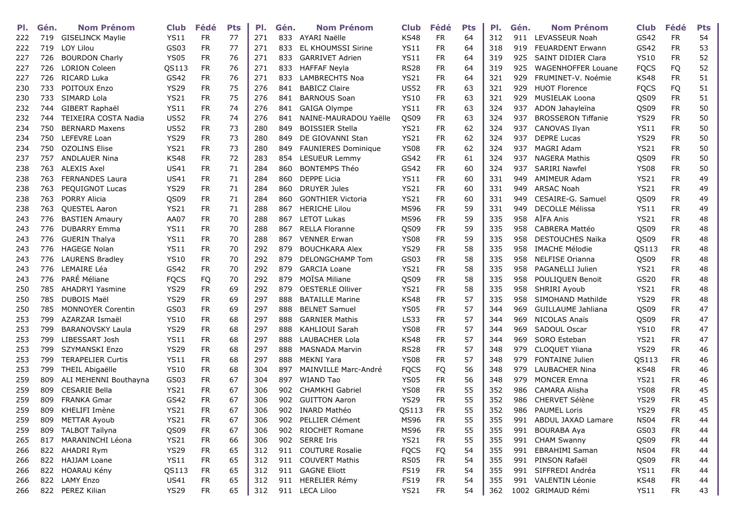| PI. | Gén. | <b>Nom Prénom</b>        | <b>Club</b> | Fédé       | <b>Pts</b> | PI. | Gén. | <b>Nom Prénom</b>          | Club        | Fédé       | <b>Pts</b> | PI. | Gén. | <b>Nom Prénom</b>         | <b>Club</b> | Fédé      | <b>Pts</b> |
|-----|------|--------------------------|-------------|------------|------------|-----|------|----------------------------|-------------|------------|------------|-----|------|---------------------------|-------------|-----------|------------|
| 222 | 719  | <b>GISELINCK Maylie</b>  | <b>YS11</b> | <b>FR</b>  | 77         | 271 | 833  | AYARI Naëlle               | <b>KS48</b> | <b>FR</b>  | 64         | 312 | 911  | LEVASSEUR Noah            | GS42        | <b>FR</b> | 54         |
| 222 | 719  | LOY Lilou                | GS03        | <b>FR</b>  | 77         | 271 | 833  | <b>EL KHOUMSSI Sirine</b>  | <b>YS11</b> | <b>FR</b>  | 64         | 318 | 919  | <b>FEUARDENT Erwann</b>   | GS42        | <b>FR</b> | 53         |
| 227 | 726  | <b>BOURDON Charly</b>    | <b>YS05</b> | <b>FR</b>  | 76         | 271 | 833  | <b>GARRIVET Adrien</b>     | <b>YS11</b> | <b>FR</b>  | 64         | 319 | 925  | <b>SAINT DIDIER Clara</b> | <b>YS10</b> | <b>FR</b> | 52         |
| 227 | 726  | <b>LORION Coleen</b>     | QS113       | <b>FR</b>  | 76         | 271 | 833  | <b>HAFFAF Neyla</b>        | <b>RS28</b> | <b>FR</b>  | 64         | 319 | 925  | <b>WAGENHOFFER Louane</b> | <b>FQCS</b> | FQ        | 52         |
| 227 | 726  | <b>RICARD Luka</b>       | GS42        | FR         | 76         | 271 | 833  | <b>LAMBRECHTS Noa</b>      | <b>YS21</b> | <b>FR</b>  | 64         | 321 | 929  | FRUMINET-V. Noémie        | <b>KS48</b> | <b>FR</b> | 51         |
| 230 | 733  | POITOUX Enzo             | <b>YS29</b> | <b>FR</b>  | 75         | 276 | 841  | <b>BABICZ Claire</b>       | <b>US52</b> | <b>FR</b>  | 63         | 321 | 929  | <b>HUOT Florence</b>      | <b>FQCS</b> | FQ        | 51         |
| 230 | 733  | SIMARD Lola              | <b>YS21</b> | <b>FR</b>  | 75         | 276 | 841  | <b>BARNOUS Soan</b>        | <b>YS10</b> | <b>FR</b>  | 63         | 321 | 929  | MUSIELAK Loona            | QS09        | <b>FR</b> | 51         |
| 232 | 744  | GIBERT Raphaël           | YS11        | <b>FR</b>  | 74         | 276 | 841  | GAIGA Olympe               | <b>YS11</b> | <b>FR</b>  | 63         | 324 | 937  | ADON Jahayleïna           | QS09        | FR        | 50         |
| 232 | 744  | TEIXEIRA COSTA Nadia     | <b>US52</b> | <b>FR</b>  | 74         | 276 | 841  | NAINE-MAURADOU Yaëlle      | QS09        | <b>FR</b>  | 63         | 324 | 937  | <b>BROSSERON Tiffanie</b> | <b>YS29</b> | <b>FR</b> | 50         |
| 234 | 750  | <b>BERNARD Maxens</b>    | <b>US52</b> | <b>FR</b>  | 73         | 280 | 849  | <b>BOISSIER Stella</b>     | <b>YS21</b> | <b>FR</b>  | 62         | 324 | 937  | CANOVAS Ilyan             | <b>YS11</b> | <b>FR</b> | 50         |
| 234 | 750  | LEFEVRE Loan             | <b>YS29</b> | <b>FR</b>  | 73         | 280 | 849  | DE GIOVANNI Stan           | <b>YS21</b> | <b>FR</b>  | 62         | 324 | 937  | <b>DEPRE Lucas</b>        | <b>YS29</b> | <b>FR</b> | 50         |
| 234 | 750  | <b>OZOLINS Elise</b>     | <b>YS21</b> | <b>FR</b>  | 73         | 280 | 849  | <b>FAUNIERES Dominique</b> | <b>YS08</b> | <b>FR</b>  | 62         | 324 | 937  | <b>MAGRI Adam</b>         | <b>YS21</b> | <b>FR</b> | 50         |
| 237 | 757  | <b>ANDLAUER Nina</b>     | <b>KS48</b> | <b>FR</b>  | 72         | 283 | 854  | <b>LESUEUR Lemmy</b>       | GS42        | <b>FR</b>  | 61         | 324 | 937  | <b>NAGERA Mathis</b>      | QS09        | <b>FR</b> | 50         |
| 238 | 763  | <b>ALEXIS Axel</b>       | US41        | <b>FR</b>  | 71         | 284 | 860  | <b>BONTEMPS Théo</b>       | GS42        | <b>FR</b>  | 60         | 324 | 937  | <b>SARIRI Nawfel</b>      | YS08        | <b>FR</b> | 50         |
| 238 | 763  | <b>FERNANDES Laura</b>   | <b>US41</b> | <b>FR</b>  | 71         | 284 | 860  | <b>DEPPE Licia</b>         | <b>YS11</b> | <b>FR</b>  | 60         | 331 | 949  | <b>AMIMEUR Adam</b>       | <b>YS21</b> | <b>FR</b> | 49         |
| 238 | 763  | PEQUIGNOT Lucas          | <b>YS29</b> | <b>FR</b>  | 71         | 284 | 860  | <b>DRUYER Jules</b>        | <b>YS21</b> | FR         | 60         | 331 | 949  | <b>ARSAC Noah</b>         | <b>YS21</b> | <b>FR</b> | 49         |
| 238 | 763  | <b>PORRY Alicia</b>      | QS09        | <b>FR</b>  | 71         | 284 | 860  | <b>GONTHIER Victoria</b>   | <b>YS21</b> | <b>FR</b>  | 60         | 331 | 949  | CESAIRE-G. Samuel         | QS09        | <b>FR</b> | 49         |
| 238 | 763  | <b>OUESTEL Aaron</b>     | <b>YS21</b> | FR         | 71         | 288 | 867  | <b>HERICHE Lilou</b>       | <b>MS96</b> | <b>FR</b>  | 59         | 331 | 949  | <b>DECOLLE Mélissa</b>    | <b>YS11</b> | <b>FR</b> | 49         |
| 243 | 776  | <b>BASTIEN Amaury</b>    | AA07        | <b>FR</b>  | 70         | 288 | 867  | <b>LETOT Lukas</b>         | <b>MS96</b> | <b>FR</b>  | 59         | 335 | 958  | AÏFA Anis                 | <b>YS21</b> | <b>FR</b> | 48         |
| 243 | 776  | <b>DUBARRY Emma</b>      | <b>YS11</b> | <b>FR</b>  | 70         | 288 | 867  | <b>RELLA Floranne</b>      | QS09        | <b>FR</b>  | 59         | 335 | 958  | CABRERA Mattéo            | QS09        | <b>FR</b> | 48         |
| 243 | 776  | <b>GUERIN Thalya</b>     | <b>YS11</b> | <b>FR</b>  | 70         | 288 | 867  | <b>VENNER Erwan</b>        | <b>YS08</b> | FR         | 59         | 335 | 958  | <b>DESTOUCHES Naïka</b>   | QS09        | <b>FR</b> | 48         |
| 243 | 776  | <b>HAGEGE Nolan</b>      | <b>YS11</b> | <b>FR</b>  | 70         | 292 | 879  | <b>BOUCHKARA Alex</b>      | <b>YS29</b> | FR         | 58         | 335 | 958  | <b>IMACHE Mélodie</b>     | QS113       | <b>FR</b> | 48         |
| 243 | 776  | <b>LAURENS Bradley</b>   | <b>YS10</b> | <b>FR</b>  | 70         | 292 | 879  | <b>DELONGCHAMP Tom</b>     | GS03        | <b>FR</b>  | 58         | 335 | 958  | <b>NELFISE Orianna</b>    | QS09        | <b>FR</b> | 48         |
| 243 | 776  | LEMAIRE Léa              | GS42        | <b>FR</b>  | 70         | 292 | 879  | <b>GARCIA Loane</b>        | <b>YS21</b> | <b>FR</b>  | 58         | 335 | 958  | PAGANELLI Julien          | <b>YS21</b> | <b>FR</b> | 48         |
| 243 | 776  | PARÉ Méliane             | <b>FQCS</b> | FQ         | 70         | 292 | 879  | <b>MOÏSA Miliane</b>       | QS09        | <b>FR</b>  | 58         | 335 | 958  | POULIQUEN Benoit          | GS20        | <b>FR</b> | 48         |
| 250 | 785  | <b>AHADRYI Yasmine</b>   | <b>YS29</b> | <b>FR</b>  | 69         | 292 | 879  | <b>OESTERLE Olliver</b>    | <b>YS21</b> | <b>FR</b>  | 58         | 335 | 958  | SHRIRI Ayoub              | <b>YS21</b> | <b>FR</b> | 48         |
| 250 | 785  | DUBOIS Maël              | <b>YS29</b> | <b>FR</b>  | 69         | 297 | 888  | <b>BATAILLE Marine</b>     | <b>KS48</b> | <b>FR</b>  | 57         | 335 | 958  | SIMOHAND Mathilde         | <b>YS29</b> | <b>FR</b> | 48         |
| 250 | 785  | <b>MONNOYER Corentin</b> | GS03        | <b>FR</b>  | 69         | 297 | 888  | <b>BELNET Samuel</b>       | <b>YS05</b> | <b>FR</b>  | 57         | 344 | 969  | <b>GUILLAUME Jahliana</b> | QS09        | <b>FR</b> | 47         |
| 253 | 799  | AZARZAR Ismaël           | <b>YS10</b> | <b>FR</b>  | 68         | 297 | 888  | <b>GARNIER Mathis</b>      | <b>LS33</b> | <b>FR</b>  | 57         | 344 | 969  | <b>NICOLAS Anaïs</b>      | QS09        | <b>FR</b> | 47         |
| 253 | 799  | <b>BARANOVSKY Laula</b>  | <b>YS29</b> | <b>FR</b>  | 68         | 297 | 888  | KAHLIOUI Sarah             | <b>YS08</b> | <b>FR</b>  | 57         | 344 | 969  | SADOUL Oscar              | <b>YS10</b> | <b>FR</b> | 47         |
| 253 | 799  | LIBESSART Josh           | <b>YS11</b> | <b>FR</b>  | 68         | 297 | 888  | LAUBACHER Lola             | <b>KS48</b> | <b>FR</b>  | 57         | 344 | 969  | SORO Esteban              | <b>YS21</b> | <b>FR</b> | 47         |
| 253 | 799  | <b>SZYMANSKI Enzo</b>    | <b>YS29</b> | <b>FR</b>  | 68         | 297 | 888  | <b>MASNADA Marvin</b>      | <b>RS28</b> | <b>FR</b>  | 57         | 348 | 979  | CLOQUET Yliana            | <b>YS29</b> | FR        | 46         |
| 253 | 799  | <b>TERAPELIER Curtis</b> | YS11        | <b>FR</b>  | 68         | 297 | 888  | <b>MEKNI Yara</b>          | <b>YS08</b> | <b>FR</b>  | 57         | 348 | 979  | <b>FONTAINE Julien</b>    | QS113       | FR        | 46         |
| 253 | 799  | <b>THEIL Abigaëlle</b>   | <b>YS10</b> | <b>FR</b>  | 68         | 304 | 897  | MAINVILLE Marc-André       | <b>FQCS</b> | <b>FQ</b>  | 56         | 348 | 979  | <b>LAUBACHER Nina</b>     | <b>KS48</b> | <b>FR</b> | 46         |
| 259 | 809  | ALI MEHENNI Bouthayna    | GS03        | <b>FR</b>  | 67         | 304 | 897  | <b>WIAND Tao</b>           | <b>YS05</b> | <b>FR</b>  | 56         | 348 | 979  | <b>MONCER Emna</b>        | <b>YS21</b> | <b>FR</b> | 46         |
| 259 | 809  | <b>CESARIE Bella</b>     | <b>YS21</b> | <b>FR</b>  | 67         | 306 | 902  | CHAMKHI Gabriel            | <b>YS08</b> | FR         | 55         | 352 | 986  | CAMARA Alisha             | <b>YS08</b> | <b>FR</b> | 45         |
| 259 | 809  | <b>FRANKA Gmar</b>       | GS42        | <b>FR</b>  | 67         | 306 | 902  | <b>GUITTON Aaron</b>       | <b>YS29</b> | <b>FR</b>  | 55         | 352 | 986  | CHERVET Sélène            | <b>YS29</b> | <b>FR</b> | 45         |
| 259 | 809  | KHELIFI Imène            | <b>YS21</b> | <b>FR</b>  | 67         | 306 | 902  | <b>INARD Mathéo</b>        | QS113       | <b>FR</b>  | 55         | 352 | 986  | <b>PAUMEL Loris</b>       | <b>YS29</b> | <b>FR</b> | 45         |
| 259 | 809  | <b>METTAR Ayoub</b>      | <b>YS21</b> | <b>FR</b>  | 67         | 306 | 902  | PELLIER Clément            | <b>MS96</b> | <b>FR</b>  | 55         | 355 | 991  | ABDUL JAXAD Lamare        | <b>NS04</b> | <b>FR</b> | 44         |
| 259 | 809  | <b>TALBOT Taïlyna</b>    | QS09        | ${\sf FR}$ | 67         | 306 | 902  | RIOCHET Romane             | <b>MS96</b> | ${\sf FR}$ | 55         | 355 | 991  | <b>BOURABA Aya</b>        | GS03        | <b>FR</b> | 44         |
| 265 | 817  | MARANINCHI Léona         | <b>YS21</b> | <b>FR</b>  | 66         | 306 | 902  | <b>SERRE Iris</b>          | <b>YS21</b> | <b>FR</b>  | 55         | 355 | 991  | <b>CHAM Swanny</b>        | QS09        | <b>FR</b> | 44         |
| 266 | 822  | AHADRI Rym               | <b>YS29</b> | <b>FR</b>  | 65         | 312 | 911  | <b>COUTURE Rosalie</b>     | <b>FQCS</b> | FQ         | 54         | 355 | 991  | EBRAHIMI Saman            | <b>NS04</b> | <b>FR</b> | 44         |
| 266 |      | 822 HAJJAM Loane         | <b>YS11</b> | <b>FR</b>  | 65         | 312 |      | 911 COUVERT Mathis         | <b>RS05</b> | <b>FR</b>  | 54         | 355 | 991  | PINSON Rafaël             | QS09        | <b>FR</b> | 44         |
| 266 |      | 822 HOARAU Kény          | QS113       | <b>FR</b>  | 65         | 312 |      | 911 GAGNE Eliott           | <b>FS19</b> | <b>FR</b>  | 54         | 355 | 991  | SIFFREDI Andréa           | <b>YS11</b> | FR.       | 44         |
| 266 | 822  | <b>LAMY Enzo</b>         | <b>US41</b> | <b>FR</b>  | 65         | 312 |      | 911 HERELIER Rémy          | <b>FS19</b> | <b>FR</b>  | 54         | 355 | 991  | VALENTIN Léonie           | KS48        | <b>FR</b> | 44         |
| 266 |      | 822 PEREZ Kilian         | <b>YS29</b> | <b>FR</b>  | 65         | 312 |      | 911 LECA Liloo             | <b>YS21</b> | <b>FR</b>  | 54         | 362 |      | 1002 GRIMAUD Rémi         | YS11        | FR        | 43         |
|     |      |                          |             |            |            |     |      |                            |             |            |            |     |      |                           |             |           |            |